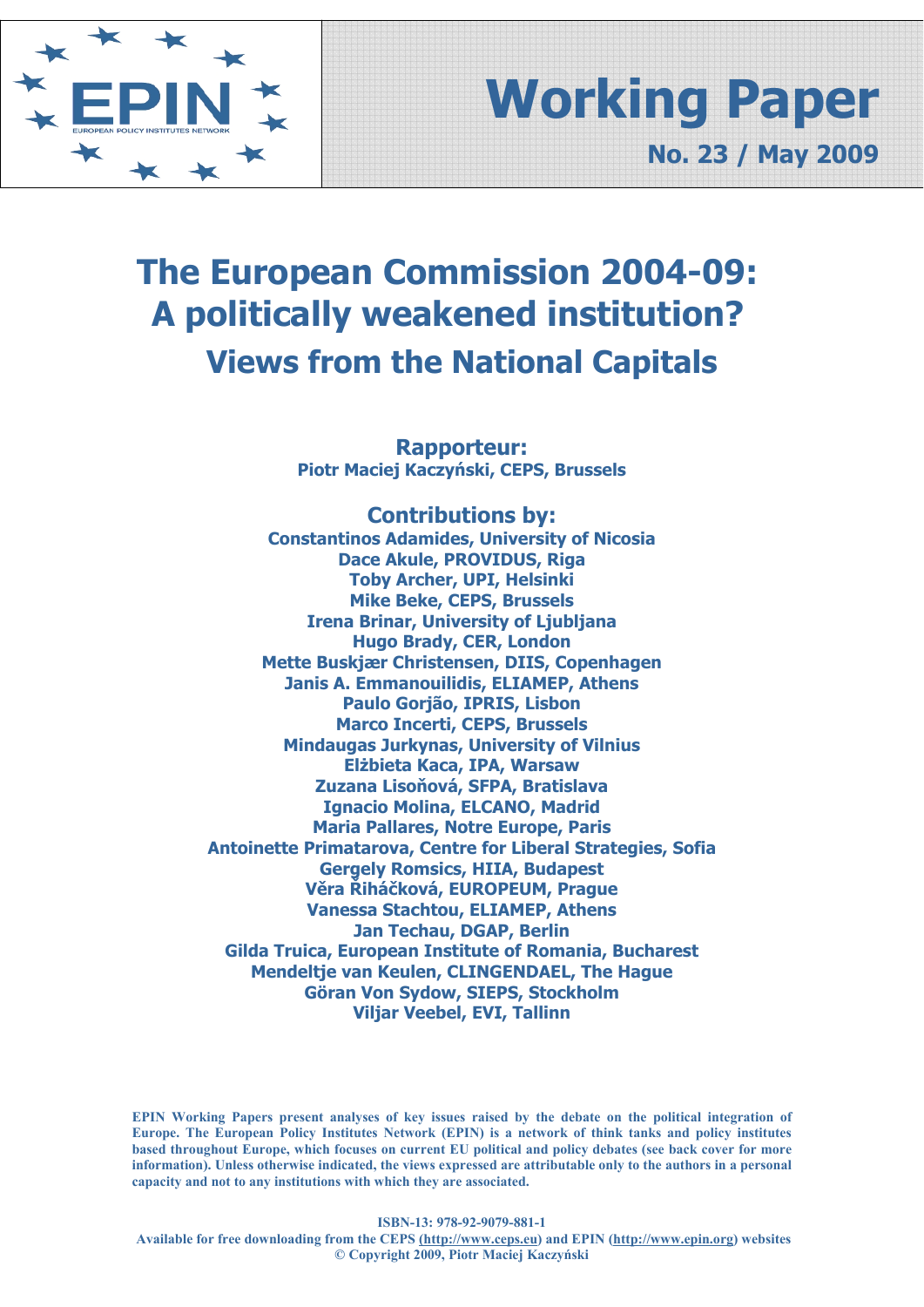

# **Working Paper No. 23 / May 2009**

# **The European Commission 2004-09: A politically weakened institution? Views from the National Capitals**

**Rapporteur: Piotr Maciej Kaczyński, CEPS, Brussels** 

**Contributions by: Constantinos Adamides, University of Nicosia Dace Akule, PROVIDUS, Riga Toby Archer, UPI, Helsinki Mike Beke, CEPS, Brussels Irena Brinar, University of Ljubljana Hugo Brady, CER, London Mette Buskjær Christensen, DIIS, Copenhagen Janis A. Emmanouilidis, ELIAMEP, Athens Paulo Gorjão, IPRIS, Lisbon Marco Incerti, CEPS, Brussels Mindaugas Jurkynas, University of Vilnius Elżbieta Kaca, IPA, Warsaw Zuzana Lisoňová, SFPA, Bratislava Ignacio Molina, ELCANO, Madrid Maria Pallares, Notre Europe, Paris Antoinette Primatarova, Centre for Liberal Strategies, Sofia Gergely Romsics, HIIA, Budapest Věra Řiháčková, EUROPEUM, Prague Vanessa Stachtou, ELIAMEP, Athens Jan Techau, DGAP, Berlin Gilda Truica, European Institute of Romania, Bucharest Mendeltje van Keulen, CLINGENDAEL, The Hague Göran Von Sydow, SIEPS, Stockholm Viljar Veebel, EVI, Tallinn**

**EPIN Working Papers present analyses of key issues raised by the debate on the political integration of Europe. The European Policy Institutes Network (EPIN) is a network of think tanks and policy institutes based throughout Europe, which focuses on current EU political and policy debates (see back cover for more information). Unless otherwise indicated, the views expressed are attributable only to the authors in a personal capacity and not to any institutions with which they are associated.**

**ISBN-13: 978-92-9079-881-1** 

 **Available for free downloading from the CEPS (http://www.ceps.eu) and EPIN (http://www.epin.org) websites © Copyright 2009, Piotr Maciej Kaczyński**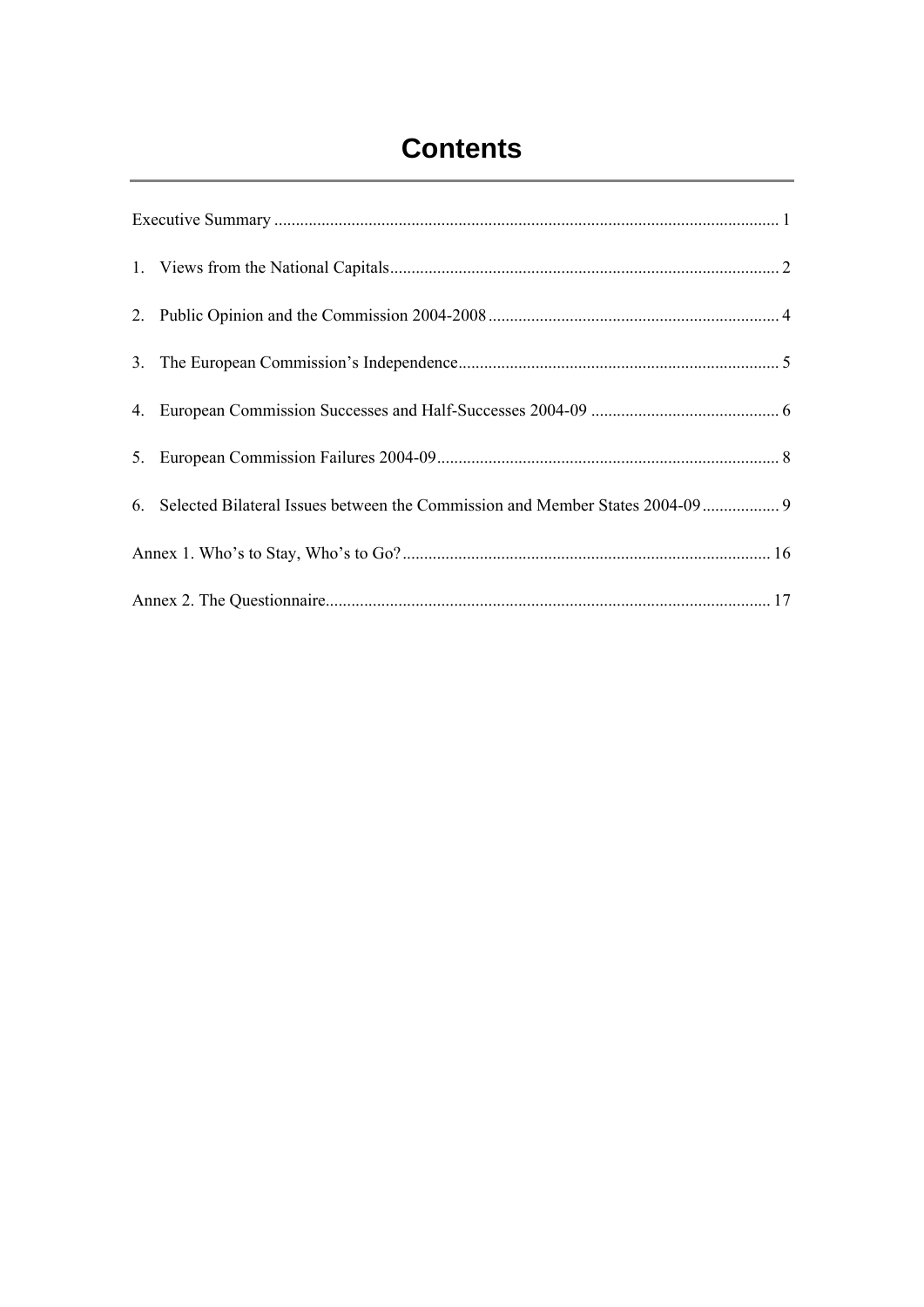# **Contents**

|  | 6. Selected Bilateral Issues between the Commission and Member States 2004-09 9 |  |  |  |
|--|---------------------------------------------------------------------------------|--|--|--|
|  |                                                                                 |  |  |  |
|  |                                                                                 |  |  |  |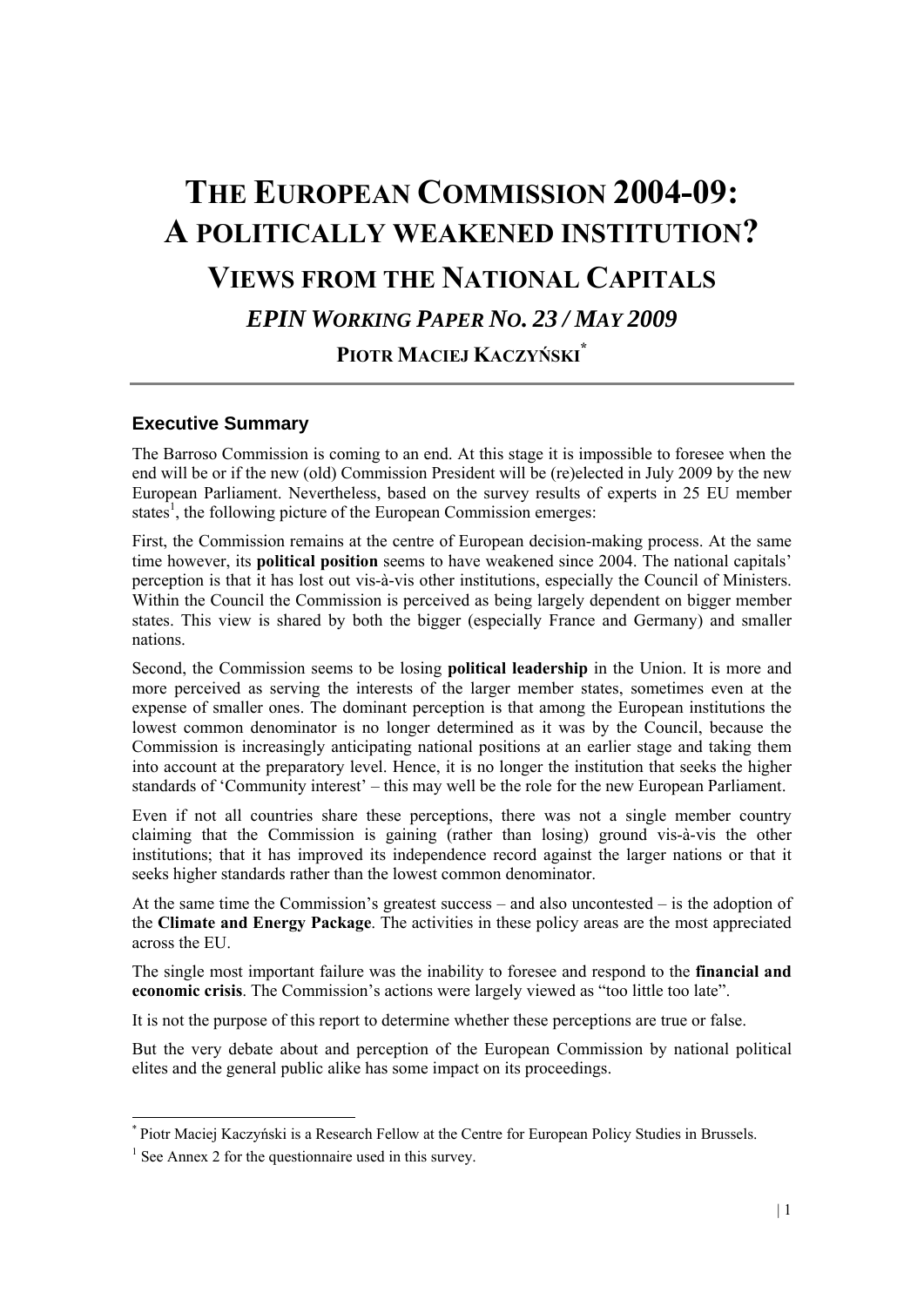# **THE EUROPEAN COMMISSION 2004-09: A POLITICALLY WEAKENED INSTITUTION? VIEWS FROM THE NATIONAL CAPITALS**  *EPIN WORKING PAPER NO. 23 / MAY 2009*  **PIOTR MACIEJ KACZYŃSKI\***

#### **Executive Summary**

The Barroso Commission is coming to an end. At this stage it is impossible to foresee when the end will be or if the new (old) Commission President will be (re)elected in July 2009 by the new European Parliament. Nevertheless, based on the survey results of experts in 25 EU member states<sup>1</sup>, the following picture of the European Commission emerges:

First, the Commission remains at the centre of European decision-making process. At the same time however, its **political position** seems to have weakened since 2004. The national capitals' perception is that it has lost out vis-à-vis other institutions, especially the Council of Ministers. Within the Council the Commission is perceived as being largely dependent on bigger member states. This view is shared by both the bigger (especially France and Germany) and smaller nations.

Second, the Commission seems to be losing **political leadership** in the Union. It is more and more perceived as serving the interests of the larger member states, sometimes even at the expense of smaller ones. The dominant perception is that among the European institutions the lowest common denominator is no longer determined as it was by the Council, because the Commission is increasingly anticipating national positions at an earlier stage and taking them into account at the preparatory level. Hence, it is no longer the institution that seeks the higher standards of 'Community interest' – this may well be the role for the new European Parliament.

Even if not all countries share these perceptions, there was not a single member country claiming that the Commission is gaining (rather than losing) ground vis-à-vis the other institutions; that it has improved its independence record against the larger nations or that it seeks higher standards rather than the lowest common denominator.

At the same time the Commission's greatest success – and also uncontested – is the adoption of the **Climate and Energy Package**. The activities in these policy areas are the most appreciated across the EU.

The single most important failure was the inability to foresee and respond to the **financial and economic crisis**. The Commission's actions were largely viewed as "too little too late".

It is not the purpose of this report to determine whether these perceptions are true or false.

But the very debate about and perception of the European Commission by national political elites and the general public alike has some impact on its proceedings.

1

<sup>\*</sup> Piotr Maciej Kaczyński is a Research Fellow at the Centre for European Policy Studies in Brussels.

<sup>&</sup>lt;sup>1</sup> See Annex 2 for the questionnaire used in this survey.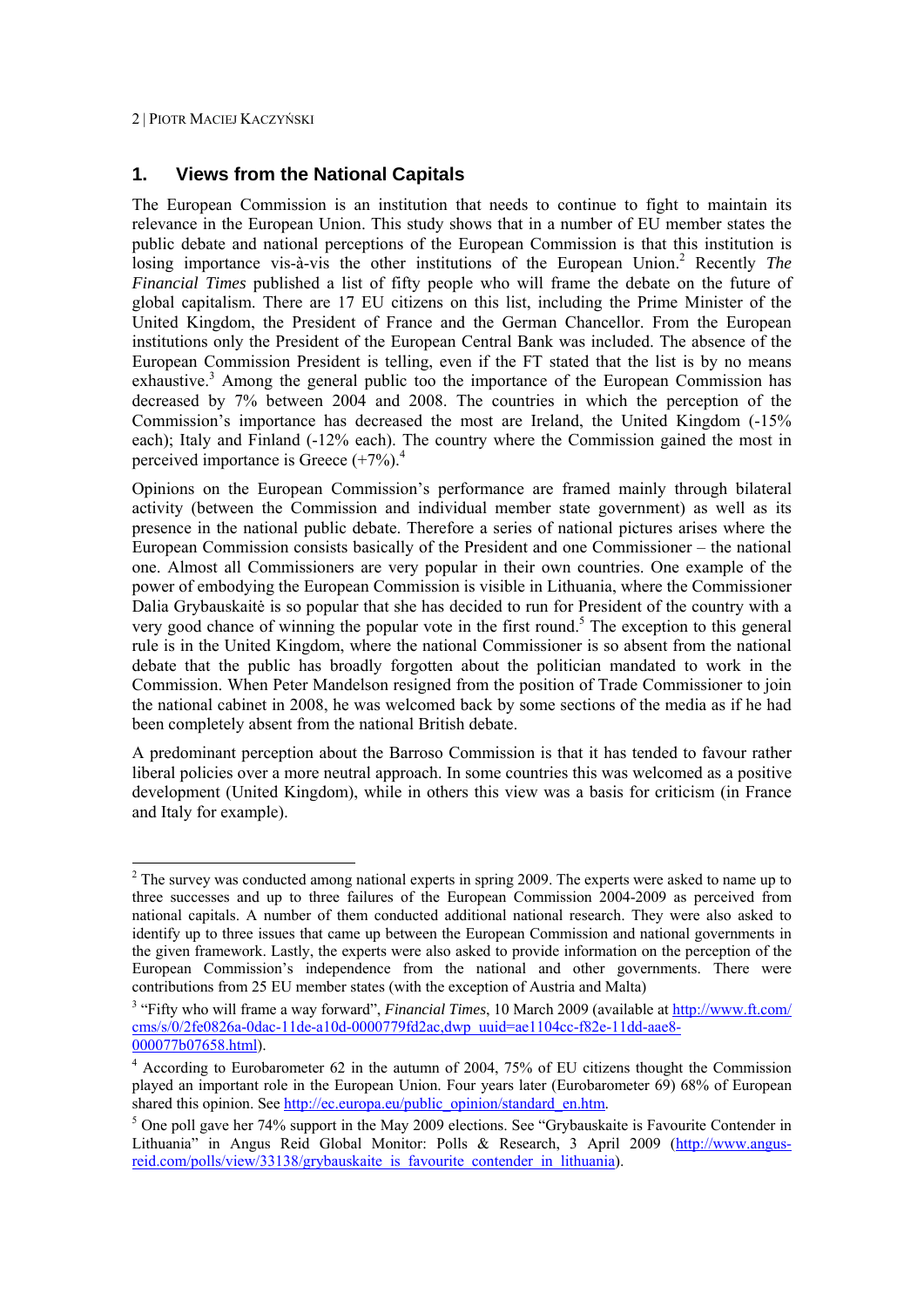### **1. Views from the National Capitals**

The European Commission is an institution that needs to continue to fight to maintain its relevance in the European Union. This study shows that in a number of EU member states the public debate and national perceptions of the European Commission is that this institution is losing importance vis-à-vis the other institutions of the European Union.<sup>2</sup> Recently *The Financial Times* published a list of fifty people who will frame the debate on the future of global capitalism. There are 17 EU citizens on this list, including the Prime Minister of the United Kingdom, the President of France and the German Chancellor. From the European institutions only the President of the European Central Bank was included. The absence of the European Commission President is telling, even if the FT stated that the list is by no means exhaustive.<sup>3</sup> Among the general public too the importance of the European Commission has decreased by 7% between 2004 and 2008. The countries in which the perception of the Commission's importance has decreased the most are Ireland, the United Kingdom (-15% each); Italy and Finland (-12% each). The country where the Commission gained the most in perceived importance is Greece  $(+7%)$ <sup>4</sup>

Opinions on the European Commission's performance are framed mainly through bilateral activity (between the Commission and individual member state government) as well as its presence in the national public debate. Therefore a series of national pictures arises where the European Commission consists basically of the President and one Commissioner – the national one. Almost all Commissioners are very popular in their own countries. One example of the power of embodying the European Commission is visible in Lithuania, where the Commissioner Dalia Grybauskaitė is so popular that she has decided to run for President of the country with a very good chance of winning the popular vote in the first round.<sup>5</sup> The exception to this general rule is in the United Kingdom, where the national Commissioner is so absent from the national debate that the public has broadly forgotten about the politician mandated to work in the Commission. When Peter Mandelson resigned from the position of Trade Commissioner to join the national cabinet in 2008, he was welcomed back by some sections of the media as if he had been completely absent from the national British debate.

A predominant perception about the Barroso Commission is that it has tended to favour rather liberal policies over a more neutral approach. In some countries this was welcomed as a positive development (United Kingdom), while in others this view was a basis for criticism (in France and Italy for example).

<sup>&</sup>lt;sup>2</sup> The survey was conducted among national experts in spring 2009. The experts were asked to name up to three successes and up to three failures of the European Commission 2004-2009 as perceived from national capitals. A number of them conducted additional national research. They were also asked to identify up to three issues that came up between the European Commission and national governments in the given framework. Lastly, the experts were also asked to provide information on the perception of the European Commission's independence from the national and other governments. There were contributions from 25 EU member states (with the exception of Austria and Malta)

<sup>&</sup>lt;sup>3</sup> "Fifty who will frame a way forward", *Financial Times*, 10 March 2009 (available at http://www.ft.com/ cms/s/0/2fe0826a-0dac-11de-a10d-0000779fd2ac,dwp\_uuid=ae1104cc-f82e-11dd-aae8- 000077b07658.html). 4

According to Eurobarometer 62 in the autumn of 2004, 75% of EU citizens thought the Commission played an important role in the European Union. Four years later (Eurobarometer 69) 68% of European shared this opinion. See http://ec.europa.eu/public\_opinion/standard\_en.htm.

<sup>&</sup>lt;sup>5</sup> One poll gave her 74% support in the May 2009 elections. See "Grybauskaite is Favourite Contender in Lithuania" in Angus Reid Global Monitor: Polls & Research, 3 April 2009 (http://www.angusreid.com/polls/view/33138/grybauskaite\_is\_favourite\_contender\_in\_lithuania).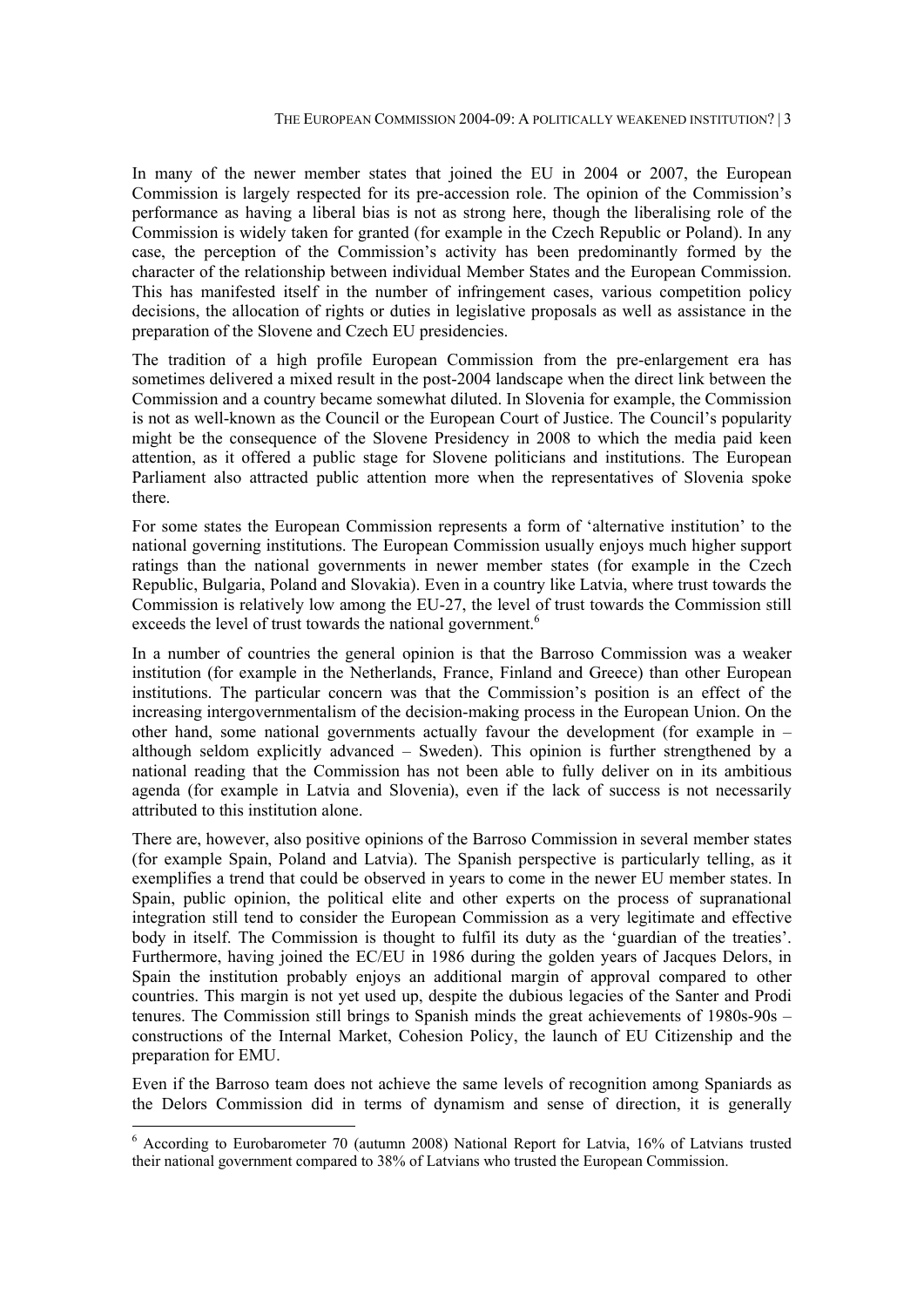In many of the newer member states that joined the EU in 2004 or 2007, the European Commission is largely respected for its pre-accession role. The opinion of the Commission's performance as having a liberal bias is not as strong here, though the liberalising role of the Commission is widely taken for granted (for example in the Czech Republic or Poland). In any case, the perception of the Commission's activity has been predominantly formed by the character of the relationship between individual Member States and the European Commission. This has manifested itself in the number of infringement cases, various competition policy decisions, the allocation of rights or duties in legislative proposals as well as assistance in the preparation of the Slovene and Czech EU presidencies.

The tradition of a high profile European Commission from the pre-enlargement era has sometimes delivered a mixed result in the post-2004 landscape when the direct link between the Commission and a country became somewhat diluted. In Slovenia for example, the Commission is not as well-known as the Council or the European Court of Justice. The Council's popularity might be the consequence of the Slovene Presidency in 2008 to which the media paid keen attention, as it offered a public stage for Slovene politicians and institutions. The European Parliament also attracted public attention more when the representatives of Slovenia spoke there.

For some states the European Commission represents a form of 'alternative institution' to the national governing institutions. The European Commission usually enjoys much higher support ratings than the national governments in newer member states (for example in the Czech Republic, Bulgaria, Poland and Slovakia). Even in a country like Latvia, where trust towards the Commission is relatively low among the EU-27, the level of trust towards the Commission still exceeds the level of trust towards the national government.<sup>6</sup>

In a number of countries the general opinion is that the Barroso Commission was a weaker institution (for example in the Netherlands, France, Finland and Greece) than other European institutions. The particular concern was that the Commission's position is an effect of the increasing intergovernmentalism of the decision-making process in the European Union. On the other hand, some national governments actually favour the development (for example in – although seldom explicitly advanced – Sweden). This opinion is further strengthened by a national reading that the Commission has not been able to fully deliver on in its ambitious agenda (for example in Latvia and Slovenia), even if the lack of success is not necessarily attributed to this institution alone.

There are, however, also positive opinions of the Barroso Commission in several member states (for example Spain, Poland and Latvia). The Spanish perspective is particularly telling, as it exemplifies a trend that could be observed in years to come in the newer EU member states. In Spain, public opinion, the political elite and other experts on the process of supranational integration still tend to consider the European Commission as a very legitimate and effective body in itself. The Commission is thought to fulfil its duty as the 'guardian of the treaties'. Furthermore, having joined the EC/EU in 1986 during the golden years of Jacques Delors, in Spain the institution probably enjoys an additional margin of approval compared to other countries. This margin is not yet used up, despite the dubious legacies of the Santer and Prodi tenures. The Commission still brings to Spanish minds the great achievements of 1980s-90s – constructions of the Internal Market, Cohesion Policy, the launch of EU Citizenship and the preparation for EMU.

Even if the Barroso team does not achieve the same levels of recognition among Spaniards as the Delors Commission did in terms of dynamism and sense of direction, it is generally

1

<sup>&</sup>lt;sup>6</sup> According to Eurobarometer 70 (autumn 2008) National Report for Latvia, 16% of Latvians trusted their national government compared to 38% of Latvians who trusted the European Commission.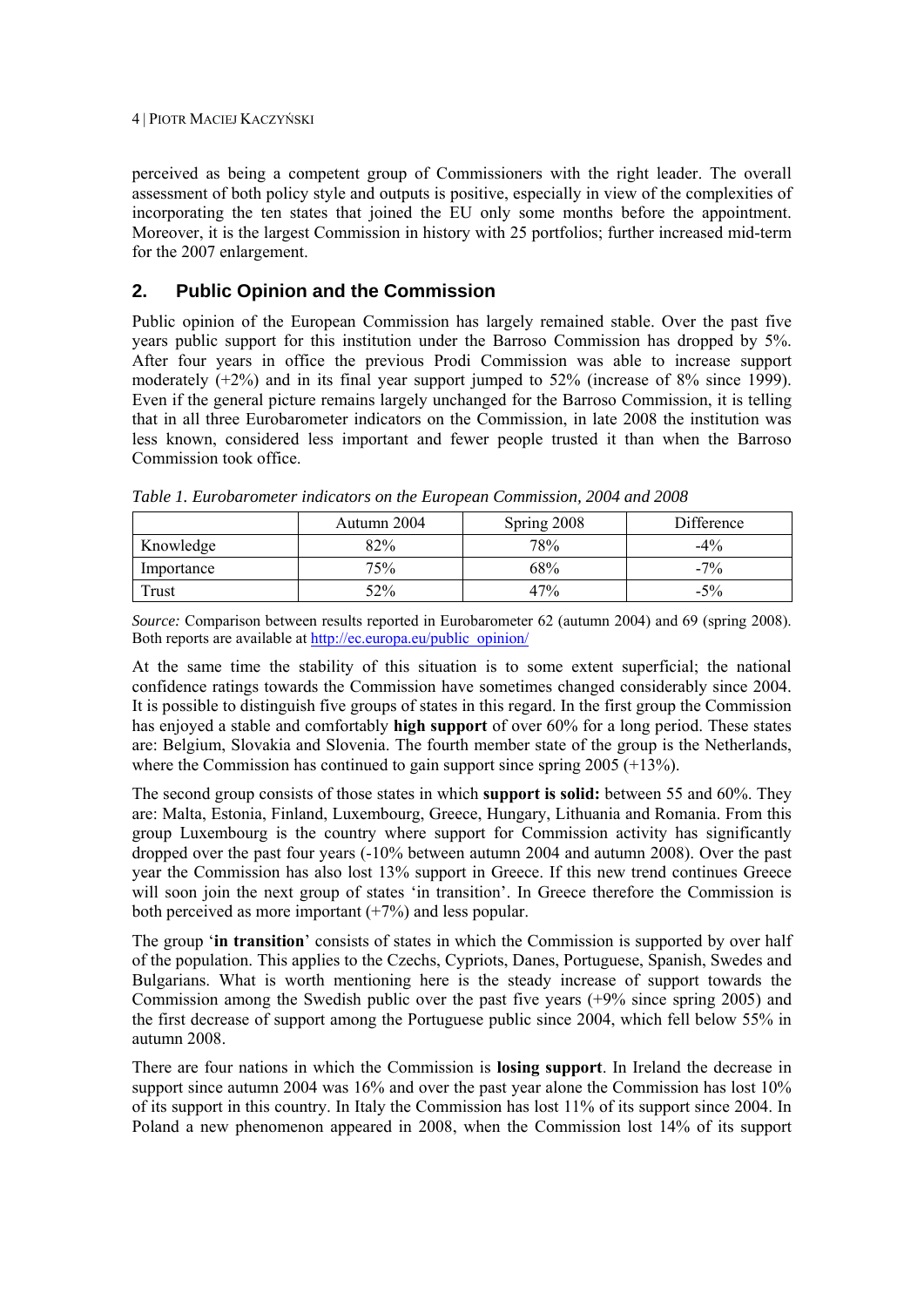perceived as being a competent group of Commissioners with the right leader. The overall assessment of both policy style and outputs is positive, especially in view of the complexities of incorporating the ten states that joined the EU only some months before the appointment. Moreover, it is the largest Commission in history with 25 portfolios; further increased mid-term for the 2007 enlargement.

# **2. Public Opinion and the Commission**

Public opinion of the European Commission has largely remained stable. Over the past five years public support for this institution under the Barroso Commission has dropped by 5%. After four years in office the previous Prodi Commission was able to increase support moderately (+2%) and in its final year support jumped to 52% (increase of 8% since 1999). Even if the general picture remains largely unchanged for the Barroso Commission, it is telling that in all three Eurobarometer indicators on the Commission, in late 2008 the institution was less known, considered less important and fewer people trusted it than when the Barroso Commission took office.

|            | Autumn 2004 | Spring 2008 | Difference |
|------------|-------------|-------------|------------|
| Knowledge  | 82%         | 78%         | $-4\%$     |
| Importance | 75%         | 68%         | $-7\%$     |
| Trust      | 52%         | 47%         | $-5\%$     |

*Table 1. Eurobarometer indicators on the European Commission, 2004 and 2008* 

*Source:* Comparison between results reported in Eurobarometer 62 (autumn 2004) and 69 (spring 2008). Both reports are available at http://ec.europa.eu/public\_opinion/

At the same time the stability of this situation is to some extent superficial; the national confidence ratings towards the Commission have sometimes changed considerably since 2004. It is possible to distinguish five groups of states in this regard. In the first group the Commission has enjoyed a stable and comfortably **high support** of over 60% for a long period. These states are: Belgium, Slovakia and Slovenia. The fourth member state of the group is the Netherlands, where the Commission has continued to gain support since spring 2005 (+13%).

The second group consists of those states in which **support is solid:** between 55 and 60%. They are: Malta, Estonia, Finland, Luxembourg, Greece, Hungary, Lithuania and Romania. From this group Luxembourg is the country where support for Commission activity has significantly dropped over the past four years (-10% between autumn 2004 and autumn 2008). Over the past year the Commission has also lost 13% support in Greece. If this new trend continues Greece will soon join the next group of states 'in transition'. In Greece therefore the Commission is both perceived as more important  $(+7%)$  and less popular.

The group '**in transition**' consists of states in which the Commission is supported by over half of the population. This applies to the Czechs, Cypriots, Danes, Portuguese, Spanish, Swedes and Bulgarians. What is worth mentioning here is the steady increase of support towards the Commission among the Swedish public over the past five years (+9% since spring 2005) and the first decrease of support among the Portuguese public since 2004, which fell below 55% in autumn 2008.

There are four nations in which the Commission is **losing support**. In Ireland the decrease in support since autumn 2004 was 16% and over the past year alone the Commission has lost 10% of its support in this country. In Italy the Commission has lost 11% of its support since 2004. In Poland a new phenomenon appeared in 2008, when the Commission lost 14% of its support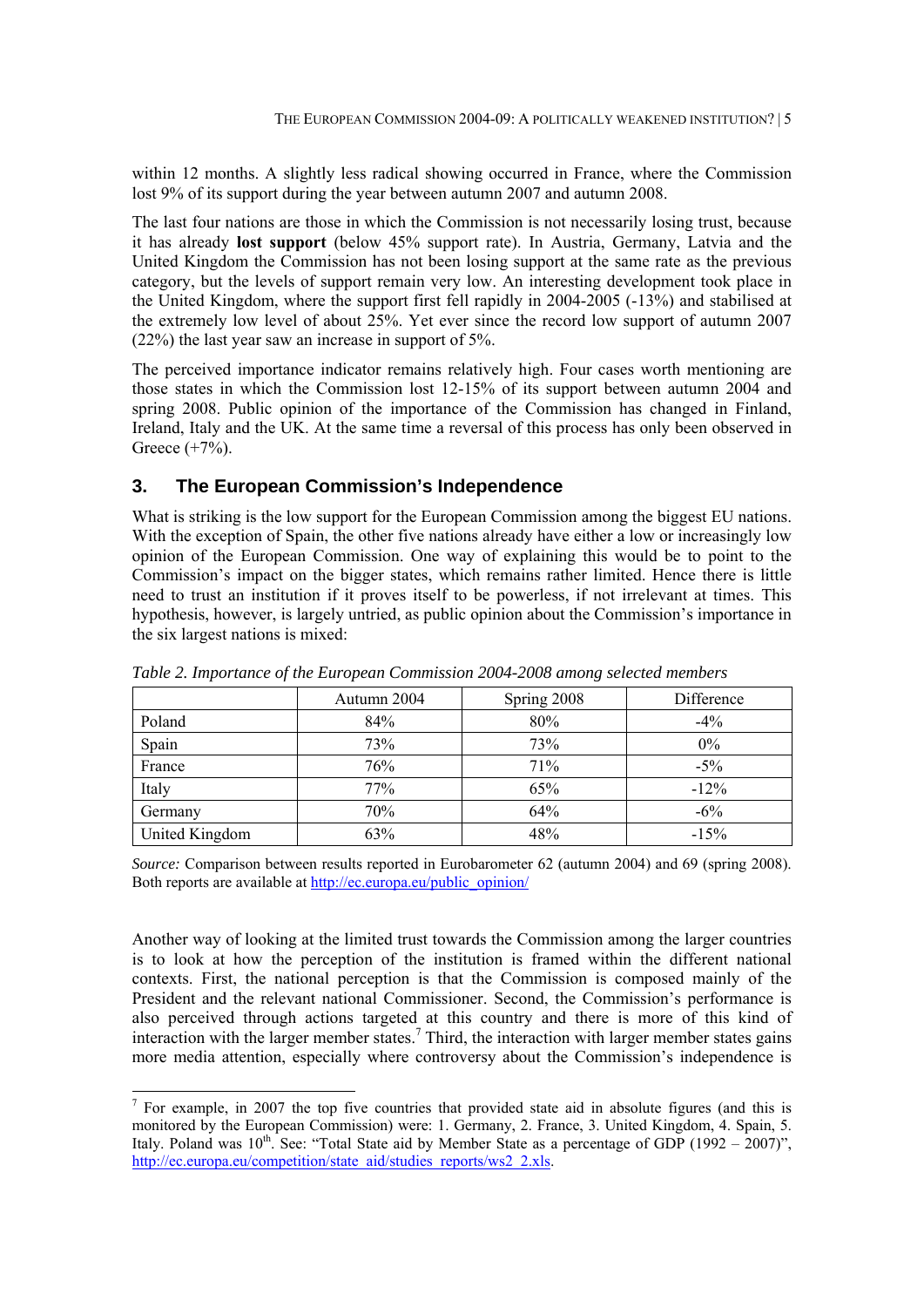within 12 months. A slightly less radical showing occurred in France, where the Commission lost 9% of its support during the year between autumn 2007 and autumn 2008.

The last four nations are those in which the Commission is not necessarily losing trust, because it has already **lost support** (below 45% support rate). In Austria, Germany, Latvia and the United Kingdom the Commission has not been losing support at the same rate as the previous category, but the levels of support remain very low. An interesting development took place in the United Kingdom, where the support first fell rapidly in 2004-2005 (-13%) and stabilised at the extremely low level of about 25%. Yet ever since the record low support of autumn 2007 (22%) the last year saw an increase in support of 5%.

The perceived importance indicator remains relatively high. Four cases worth mentioning are those states in which the Commission lost 12-15% of its support between autumn 2004 and spring 2008. Public opinion of the importance of the Commission has changed in Finland, Ireland, Italy and the UK. At the same time a reversal of this process has only been observed in Greece (+7%).

#### **3. The European Commission's Independence**

What is striking is the low support for the European Commission among the biggest EU nations. With the exception of Spain, the other five nations already have either a low or increasingly low opinion of the European Commission. One way of explaining this would be to point to the Commission's impact on the bigger states, which remains rather limited. Hence there is little need to trust an institution if it proves itself to be powerless, if not irrelevant at times. This hypothesis, however, is largely untried, as public opinion about the Commission's importance in the six largest nations is mixed:

|                | Autumn 2004 | Spring 2008 | Difference |
|----------------|-------------|-------------|------------|
| Poland         | 84%         | 80%         | $-4%$      |
| Spain          | 73%         | 73%         | $0\%$      |
| France         | 76%         | 71%         | $-5\%$     |
| Italy          | 77%         | 65%         | $-12%$     |
| Germany        | 70%         | 64%         | $-6\%$     |
| United Kingdom | 63%         | 48%         | $-15%$     |

*Table 2. Importance of the European Commission 2004-2008 among selected members* 

*Source:* Comparison between results reported in Eurobarometer 62 (autumn 2004) and 69 (spring 2008). Both reports are available at http://ec.europa.eu/public\_opinion/

Another way of looking at the limited trust towards the Commission among the larger countries is to look at how the perception of the institution is framed within the different national contexts. First, the national perception is that the Commission is composed mainly of the President and the relevant national Commissioner. Second, the Commission's performance is also perceived through actions targeted at this country and there is more of this kind of interaction with the larger member states.<sup>7</sup> Third, the interaction with larger member states gains more media attention, especially where controversy about the Commission's independence is

<sup>&</sup>lt;sup>7</sup> For example, in 2007 the top five countries that provided state aid in absolute figures (and this is monitored by the European Commission) were: 1. Germany, 2. France, 3. United Kingdom, 4. Spain, 5. Italy. Poland was  $10^{th}$ . See: "Total State aid by Member State as a percentage of GDP (1992 – 2007)", http://ec.europa.eu/competition/state\_aid/studies\_reports/ws2\_2.xls.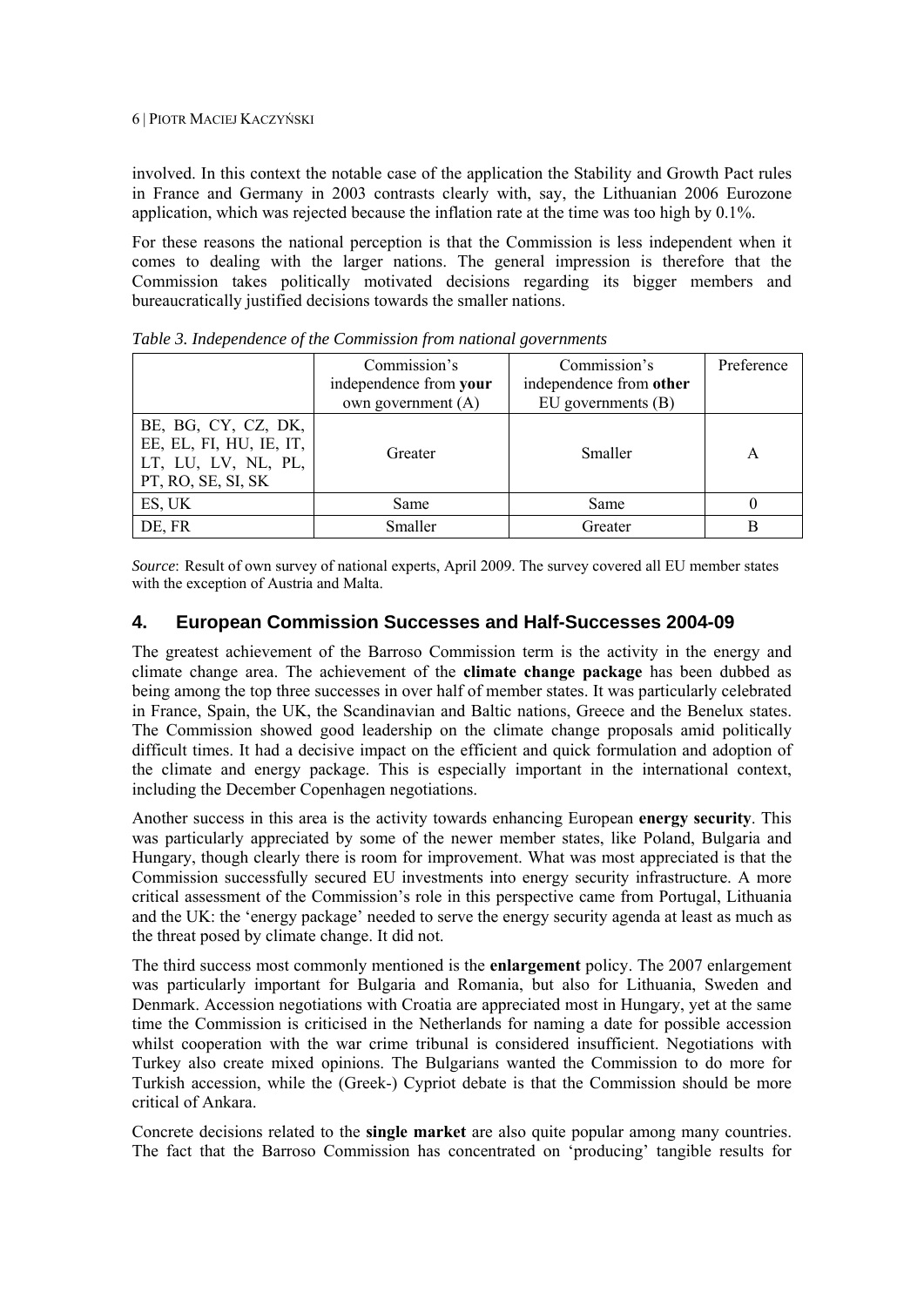involved. In this context the notable case of the application the Stability and Growth Pact rules in France and Germany in 2003 contrasts clearly with, say, the Lithuanian 2006 Eurozone application, which was rejected because the inflation rate at the time was too high by 0.1%.

For these reasons the national perception is that the Commission is less independent when it comes to dealing with the larger nations. The general impression is therefore that the Commission takes politically motivated decisions regarding its bigger members and bureaucratically justified decisions towards the smaller nations.

|                                                                                             | Commission's           | Commission's            | Preference |
|---------------------------------------------------------------------------------------------|------------------------|-------------------------|------------|
|                                                                                             | independence from your | independence from other |            |
|                                                                                             | own government (A)     | $EU$ governments $(B)$  |            |
| BE, BG, CY, CZ, DK,<br>EE, EL, FI, HU, IE, IT,<br>LT, LU, LV, NL, PL,<br>PT, RO, SE, SI, SK | Greater                | Smaller                 | A          |
| ES, UK                                                                                      | Same                   | Same                    |            |
| DE, FR                                                                                      | Smaller                | Greater                 | в          |

*Table 3. Independence of the Commission from national governments* 

*Source*: Result of own survey of national experts, April 2009. The survey covered all EU member states with the exception of Austria and Malta.

### **4. European Commission Successes and Half-Successes 2004-09**

The greatest achievement of the Barroso Commission term is the activity in the energy and climate change area. The achievement of the **climate change package** has been dubbed as being among the top three successes in over half of member states. It was particularly celebrated in France, Spain, the UK, the Scandinavian and Baltic nations, Greece and the Benelux states. The Commission showed good leadership on the climate change proposals amid politically difficult times. It had a decisive impact on the efficient and quick formulation and adoption of the climate and energy package. This is especially important in the international context, including the December Copenhagen negotiations.

Another success in this area is the activity towards enhancing European **energy security**. This was particularly appreciated by some of the newer member states, like Poland, Bulgaria and Hungary, though clearly there is room for improvement. What was most appreciated is that the Commission successfully secured EU investments into energy security infrastructure. A more critical assessment of the Commission's role in this perspective came from Portugal, Lithuania and the UK: the 'energy package' needed to serve the energy security agenda at least as much as the threat posed by climate change. It did not.

The third success most commonly mentioned is the **enlargement** policy. The 2007 enlargement was particularly important for Bulgaria and Romania, but also for Lithuania, Sweden and Denmark. Accession negotiations with Croatia are appreciated most in Hungary, yet at the same time the Commission is criticised in the Netherlands for naming a date for possible accession whilst cooperation with the war crime tribunal is considered insufficient. Negotiations with Turkey also create mixed opinions. The Bulgarians wanted the Commission to do more for Turkish accession, while the (Greek-) Cypriot debate is that the Commission should be more critical of Ankara.

Concrete decisions related to the **single market** are also quite popular among many countries. The fact that the Barroso Commission has concentrated on 'producing' tangible results for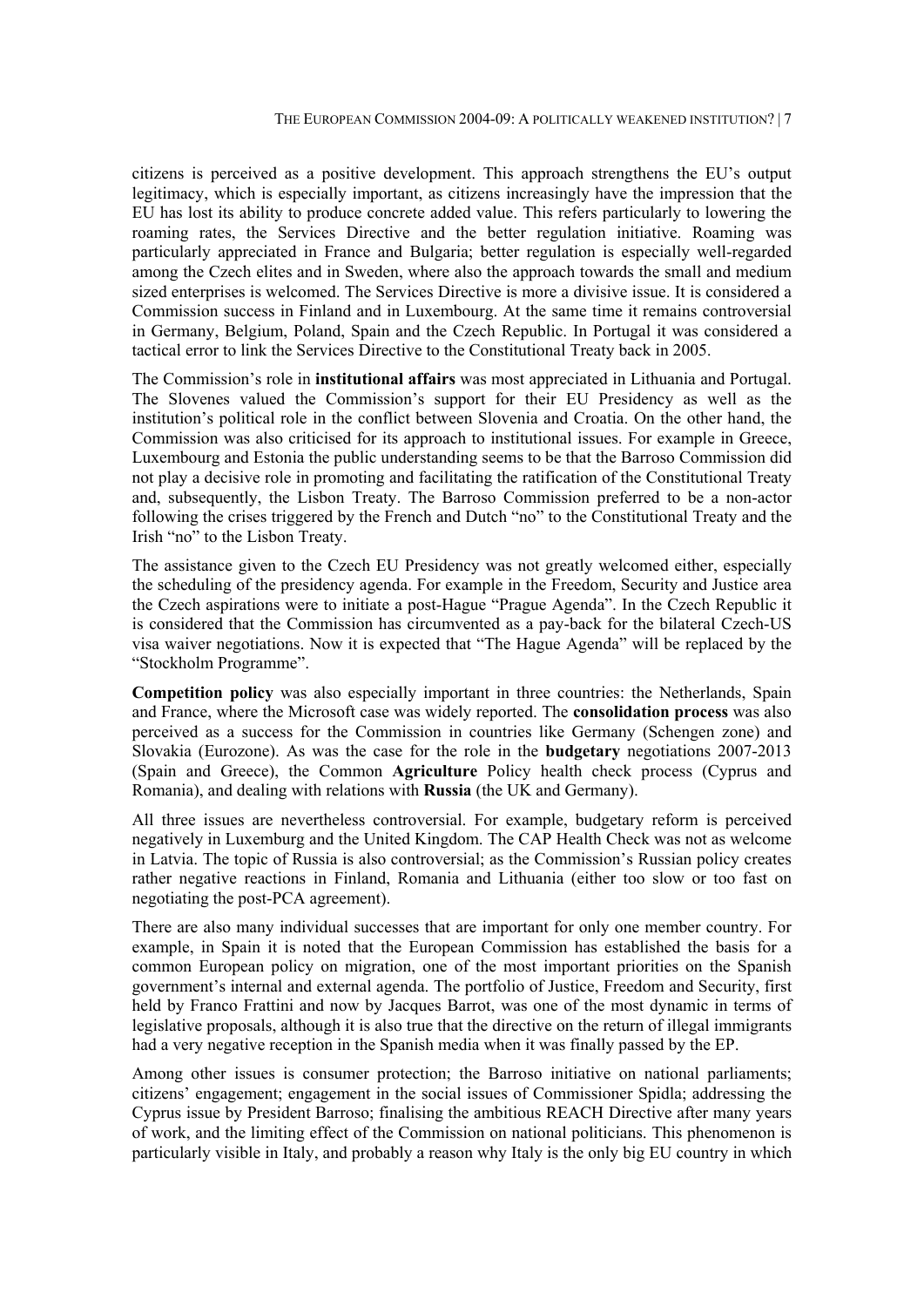citizens is perceived as a positive development. This approach strengthens the EU's output legitimacy, which is especially important, as citizens increasingly have the impression that the EU has lost its ability to produce concrete added value. This refers particularly to lowering the roaming rates, the Services Directive and the better regulation initiative. Roaming was particularly appreciated in France and Bulgaria; better regulation is especially well-regarded among the Czech elites and in Sweden, where also the approach towards the small and medium sized enterprises is welcomed. The Services Directive is more a divisive issue. It is considered a Commission success in Finland and in Luxembourg. At the same time it remains controversial in Germany, Belgium, Poland, Spain and the Czech Republic. In Portugal it was considered a tactical error to link the Services Directive to the Constitutional Treaty back in 2005.

The Commission's role in **institutional affairs** was most appreciated in Lithuania and Portugal. The Slovenes valued the Commission's support for their EU Presidency as well as the institution's political role in the conflict between Slovenia and Croatia. On the other hand, the Commission was also criticised for its approach to institutional issues. For example in Greece, Luxembourg and Estonia the public understanding seems to be that the Barroso Commission did not play a decisive role in promoting and facilitating the ratification of the Constitutional Treaty and, subsequently, the Lisbon Treaty. The Barroso Commission preferred to be a non-actor following the crises triggered by the French and Dutch "no" to the Constitutional Treaty and the Irish "no" to the Lisbon Treaty.

The assistance given to the Czech EU Presidency was not greatly welcomed either, especially the scheduling of the presidency agenda. For example in the Freedom, Security and Justice area the Czech aspirations were to initiate a post-Hague "Prague Agenda". In the Czech Republic it is considered that the Commission has circumvented as a pay-back for the bilateral Czech-US visa waiver negotiations. Now it is expected that "The Hague Agenda" will be replaced by the "Stockholm Programme".

**Competition policy** was also especially important in three countries: the Netherlands, Spain and France, where the Microsoft case was widely reported. The **consolidation process** was also perceived as a success for the Commission in countries like Germany (Schengen zone) and Slovakia (Eurozone). As was the case for the role in the **budgetary** negotiations 2007-2013 (Spain and Greece), the Common **Agriculture** Policy health check process (Cyprus and Romania), and dealing with relations with **Russia** (the UK and Germany).

All three issues are nevertheless controversial. For example, budgetary reform is perceived negatively in Luxemburg and the United Kingdom. The CAP Health Check was not as welcome in Latvia. The topic of Russia is also controversial; as the Commission's Russian policy creates rather negative reactions in Finland, Romania and Lithuania (either too slow or too fast on negotiating the post-PCA agreement).

There are also many individual successes that are important for only one member country. For example, in Spain it is noted that the European Commission has established the basis for a common European policy on migration, one of the most important priorities on the Spanish government's internal and external agenda. The portfolio of Justice, Freedom and Security, first held by Franco Frattini and now by Jacques Barrot, was one of the most dynamic in terms of legislative proposals, although it is also true that the directive on the return of illegal immigrants had a very negative reception in the Spanish media when it was finally passed by the EP.

Among other issues is consumer protection; the Barroso initiative on national parliaments; citizens' engagement; engagement in the social issues of Commissioner Spidla; addressing the Cyprus issue by President Barroso; finalising the ambitious REACH Directive after many years of work, and the limiting effect of the Commission on national politicians. This phenomenon is particularly visible in Italy, and probably a reason why Italy is the only big EU country in which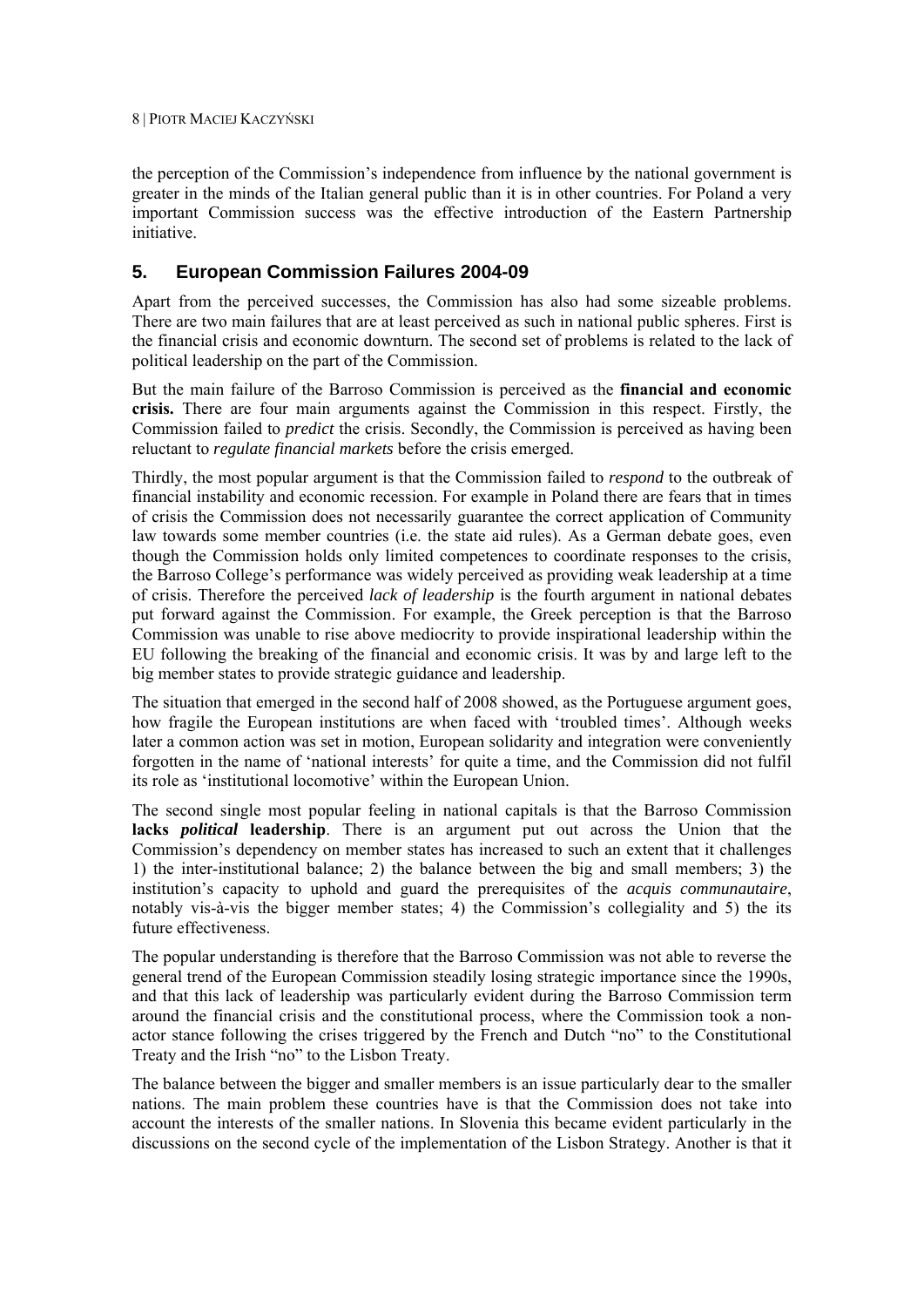the perception of the Commission's independence from influence by the national government is greater in the minds of the Italian general public than it is in other countries. For Poland a very important Commission success was the effective introduction of the Eastern Partnership initiative.

# **5. European Commission Failures 2004-09**

Apart from the perceived successes, the Commission has also had some sizeable problems. There are two main failures that are at least perceived as such in national public spheres. First is the financial crisis and economic downturn. The second set of problems is related to the lack of political leadership on the part of the Commission.

But the main failure of the Barroso Commission is perceived as the **financial and economic crisis.** There are four main arguments against the Commission in this respect. Firstly, the Commission failed to *predict* the crisis. Secondly, the Commission is perceived as having been reluctant to *regulate financial markets* before the crisis emerged.

Thirdly, the most popular argument is that the Commission failed to *respond* to the outbreak of financial instability and economic recession. For example in Poland there are fears that in times of crisis the Commission does not necessarily guarantee the correct application of Community law towards some member countries (i.e. the state aid rules). As a German debate goes, even though the Commission holds only limited competences to coordinate responses to the crisis, the Barroso College's performance was widely perceived as providing weak leadership at a time of crisis. Therefore the perceived *lack of leadership* is the fourth argument in national debates put forward against the Commission. For example, the Greek perception is that the Barroso Commission was unable to rise above mediocrity to provide inspirational leadership within the EU following the breaking of the financial and economic crisis. It was by and large left to the big member states to provide strategic guidance and leadership.

The situation that emerged in the second half of 2008 showed, as the Portuguese argument goes, how fragile the European institutions are when faced with 'troubled times'. Although weeks later a common action was set in motion, European solidarity and integration were conveniently forgotten in the name of 'national interests' for quite a time, and the Commission did not fulfil its role as 'institutional locomotive' within the European Union.

The second single most popular feeling in national capitals is that the Barroso Commission **lacks** *political* **leadership**. There is an argument put out across the Union that the Commission's dependency on member states has increased to such an extent that it challenges 1) the inter-institutional balance; 2) the balance between the big and small members; 3) the institution's capacity to uphold and guard the prerequisites of the *acquis communautaire*, notably vis-à-vis the bigger member states; 4) the Commission's collegiality and 5) the its future effectiveness.

The popular understanding is therefore that the Barroso Commission was not able to reverse the general trend of the European Commission steadily losing strategic importance since the 1990s, and that this lack of leadership was particularly evident during the Barroso Commission term around the financial crisis and the constitutional process, where the Commission took a nonactor stance following the crises triggered by the French and Dutch "no" to the Constitutional Treaty and the Irish "no" to the Lisbon Treaty.

The balance between the bigger and smaller members is an issue particularly dear to the smaller nations. The main problem these countries have is that the Commission does not take into account the interests of the smaller nations. In Slovenia this became evident particularly in the discussions on the second cycle of the implementation of the Lisbon Strategy. Another is that it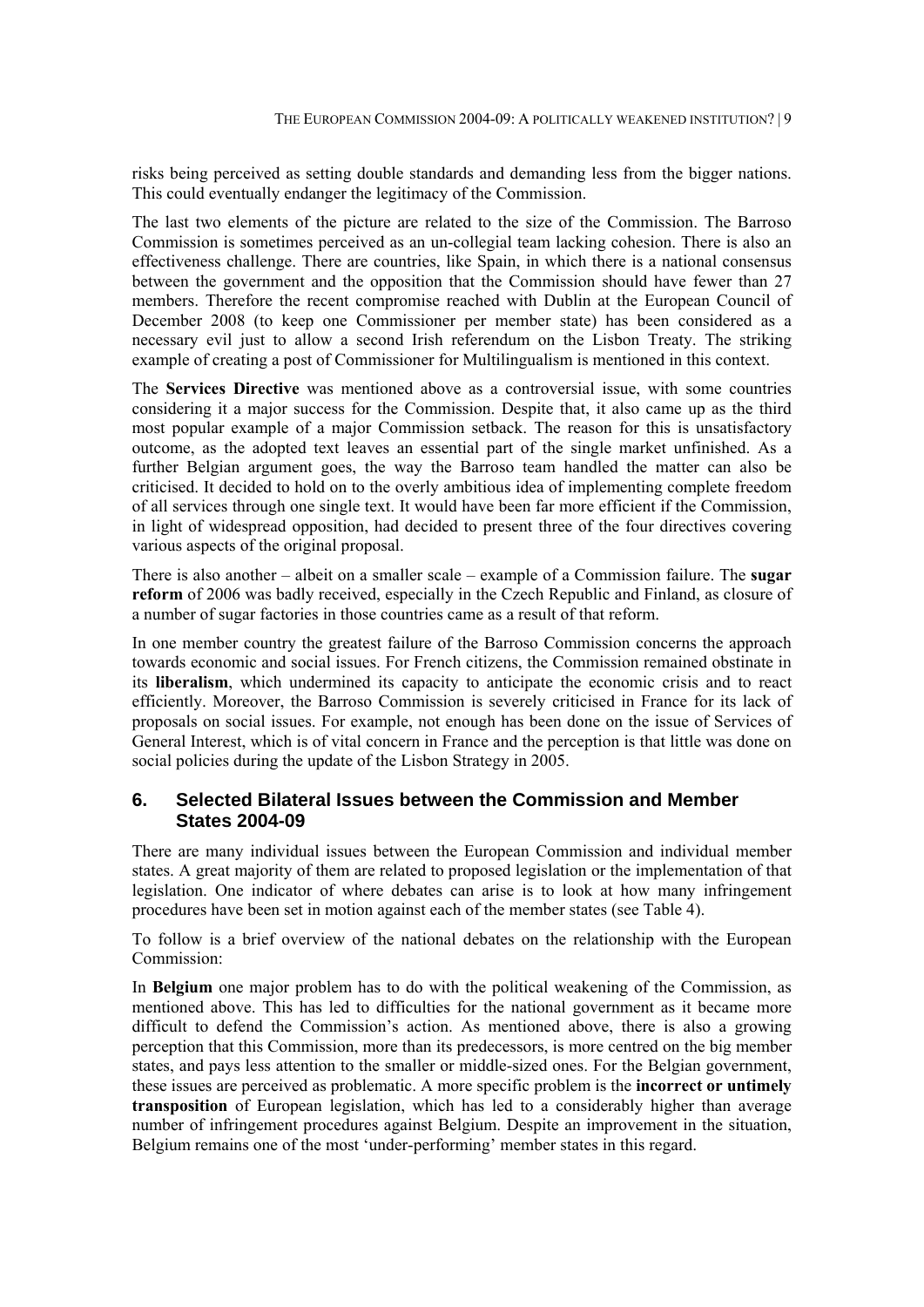risks being perceived as setting double standards and demanding less from the bigger nations. This could eventually endanger the legitimacy of the Commission.

The last two elements of the picture are related to the size of the Commission. The Barroso Commission is sometimes perceived as an un-collegial team lacking cohesion. There is also an effectiveness challenge. There are countries, like Spain, in which there is a national consensus between the government and the opposition that the Commission should have fewer than 27 members. Therefore the recent compromise reached with Dublin at the European Council of December 2008 (to keep one Commissioner per member state) has been considered as a necessary evil just to allow a second Irish referendum on the Lisbon Treaty. The striking example of creating a post of Commissioner for Multilingualism is mentioned in this context.

The **Services Directive** was mentioned above as a controversial issue, with some countries considering it a major success for the Commission. Despite that, it also came up as the third most popular example of a major Commission setback. The reason for this is unsatisfactory outcome, as the adopted text leaves an essential part of the single market unfinished. As a further Belgian argument goes, the way the Barroso team handled the matter can also be criticised. It decided to hold on to the overly ambitious idea of implementing complete freedom of all services through one single text. It would have been far more efficient if the Commission, in light of widespread opposition, had decided to present three of the four directives covering various aspects of the original proposal.

There is also another – albeit on a smaller scale – example of a Commission failure. The **sugar reform** of 2006 was badly received, especially in the Czech Republic and Finland, as closure of a number of sugar factories in those countries came as a result of that reform.

In one member country the greatest failure of the Barroso Commission concerns the approach towards economic and social issues. For French citizens, the Commission remained obstinate in its **liberalism**, which undermined its capacity to anticipate the economic crisis and to react efficiently. Moreover, the Barroso Commission is severely criticised in France for its lack of proposals on social issues. For example, not enough has been done on the issue of Services of General Interest, which is of vital concern in France and the perception is that little was done on social policies during the update of the Lisbon Strategy in 2005.

#### **6. Selected Bilateral Issues between the Commission and Member States 2004-09**

There are many individual issues between the European Commission and individual member states. A great majority of them are related to proposed legislation or the implementation of that legislation. One indicator of where debates can arise is to look at how many infringement procedures have been set in motion against each of the member states (see Table 4).

To follow is a brief overview of the national debates on the relationship with the European Commission:

In **Belgium** one major problem has to do with the political weakening of the Commission, as mentioned above. This has led to difficulties for the national government as it became more difficult to defend the Commission's action. As mentioned above, there is also a growing perception that this Commission, more than its predecessors, is more centred on the big member states, and pays less attention to the smaller or middle-sized ones. For the Belgian government, these issues are perceived as problematic. A more specific problem is the **incorrect or untimely transposition** of European legislation, which has led to a considerably higher than average number of infringement procedures against Belgium. Despite an improvement in the situation, Belgium remains one of the most 'under-performing' member states in this regard.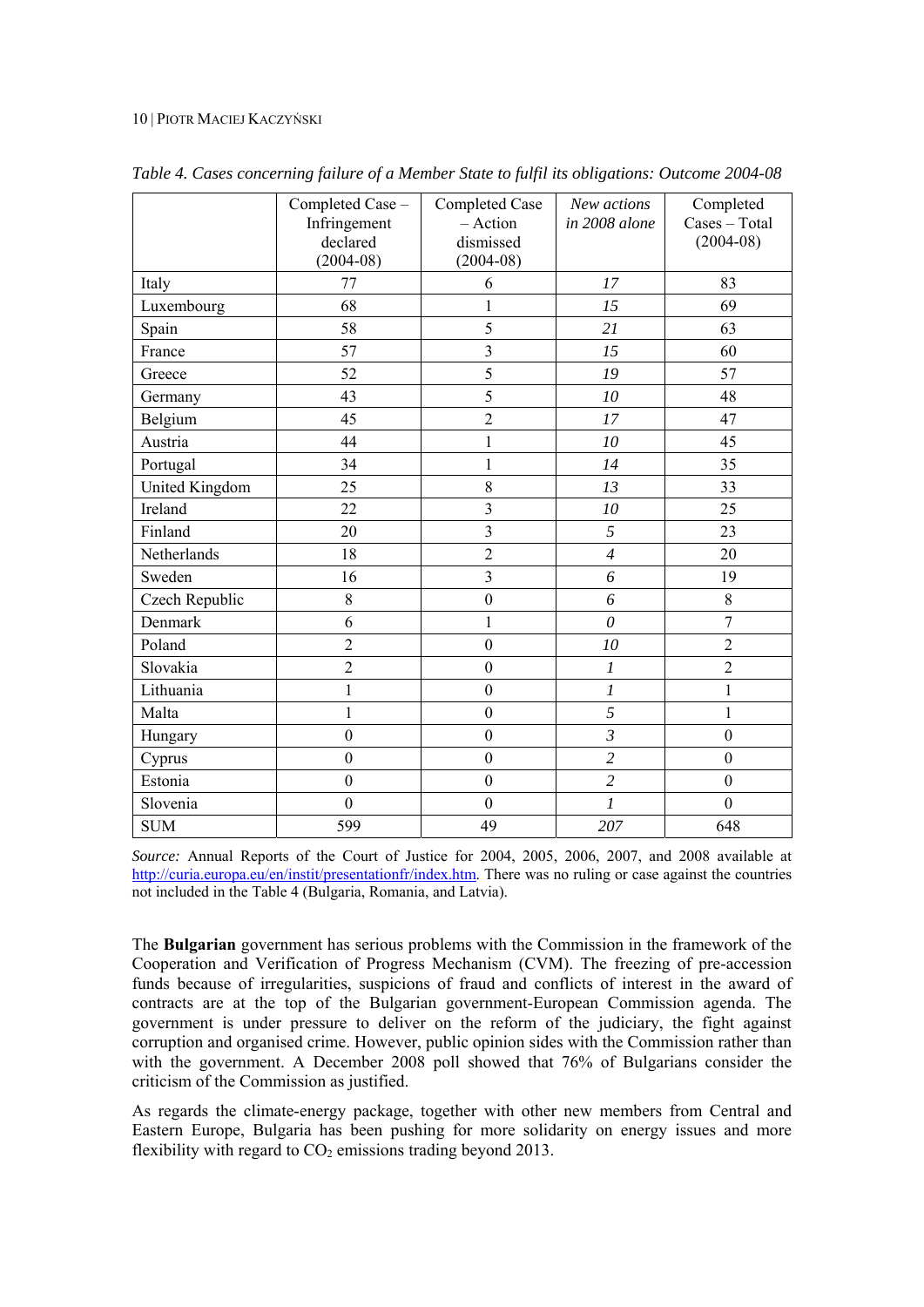|                | Completed Case -<br>Infringement<br>declared<br>$(2004-08)$ | Completed Case<br>- Action<br>dismissed<br>$(2004-08)$ | New actions<br>in 2008 alone | Completed<br>Cases - Total<br>$(2004-08)$ |
|----------------|-------------------------------------------------------------|--------------------------------------------------------|------------------------------|-------------------------------------------|
| Italy          | 77                                                          | 6                                                      | 17                           | 83                                        |
| Luxembourg     | 68                                                          | $\mathbf{1}$                                           | 15                           | 69                                        |
| Spain          | 58                                                          | 5                                                      | 21                           | 63                                        |
| France         | 57                                                          | $\overline{3}$                                         | 15                           | 60                                        |
| Greece         | 52                                                          | 5                                                      | 19                           | 57                                        |
| Germany        | 43                                                          | 5                                                      | 10                           | 48                                        |
| Belgium        | 45                                                          | $\overline{c}$                                         | 17                           | 47                                        |
| Austria        | 44                                                          | $\mathbf{1}$                                           | 10                           | 45                                        |
| Portugal       | 34                                                          | $\mathbf{1}$                                           | 14                           | 35                                        |
| United Kingdom | 25                                                          | 8                                                      | 13                           | 33                                        |
| Ireland        | 22                                                          | $\overline{3}$                                         | 10                           | 25                                        |
| Finland        | 20                                                          | $\overline{3}$                                         | 5                            | 23                                        |
| Netherlands    | 18                                                          | $\overline{c}$                                         | $\overline{4}$               | 20                                        |
| Sweden         | 16                                                          | $\overline{3}$                                         | 6                            | 19                                        |
| Czech Republic | 8                                                           | $\boldsymbol{0}$                                       | 6                            | 8                                         |
| Denmark        | 6                                                           | $\mathbf{1}$                                           | $\theta$                     | $\overline{7}$                            |
| Poland         | $\overline{2}$                                              | $\boldsymbol{0}$                                       | 10                           | $\overline{2}$                            |
| Slovakia       | $\overline{2}$                                              | $\boldsymbol{0}$                                       | $\boldsymbol{l}$             | $\overline{2}$                            |
| Lithuania      | $\mathbf{1}$                                                | $\boldsymbol{0}$                                       | $\boldsymbol{l}$             | $\mathbf{1}$                              |
| Malta          | $\mathbf{1}$                                                | $\boldsymbol{0}$                                       | 5                            | $\mathbf{1}$                              |
| Hungary        | $\mathbf{0}$                                                | $\boldsymbol{0}$                                       | $\mathfrak{Z}$               | $\boldsymbol{0}$                          |
| Cyprus         | $\boldsymbol{0}$                                            | $\boldsymbol{0}$                                       | $\overline{c}$               | $\boldsymbol{0}$                          |
| Estonia        | $\boldsymbol{0}$                                            | $\boldsymbol{0}$                                       | $\overline{c}$               | $\mathbf{0}$                              |
| Slovenia       | $\boldsymbol{0}$                                            | $\boldsymbol{0}$                                       | $\overline{l}$               | $\boldsymbol{0}$                          |
| <b>SUM</b>     | 599                                                         | 49                                                     | 207                          | 648                                       |

*Table 4. Cases concerning failure of a Member State to fulfil its obligations: Outcome 2004-08*

*Source:* Annual Reports of the Court of Justice for 2004, 2005, 2006, 2007, and 2008 available at http://curia.europa.eu/en/instit/presentationfr/index.htm. There was no ruling or case against the countries not included in the Table 4 (Bulgaria, Romania, and Latvia).

The **Bulgarian** government has serious problems with the Commission in the framework of the Cooperation and Verification of Progress Mechanism (CVM). The freezing of pre-accession funds because of irregularities, suspicions of fraud and conflicts of interest in the award of contracts are at the top of the Bulgarian government-European Commission agenda. The government is under pressure to deliver on the reform of the judiciary, the fight against corruption and organised crime. However, public opinion sides with the Commission rather than with the government. A December 2008 poll showed that 76% of Bulgarians consider the criticism of the Commission as justified.

As regards the climate-energy package, together with other new members from Central and Eastern Europe, Bulgaria has been pushing for more solidarity on energy issues and more flexibility with regard to  $CO<sub>2</sub>$  emissions trading beyond 2013.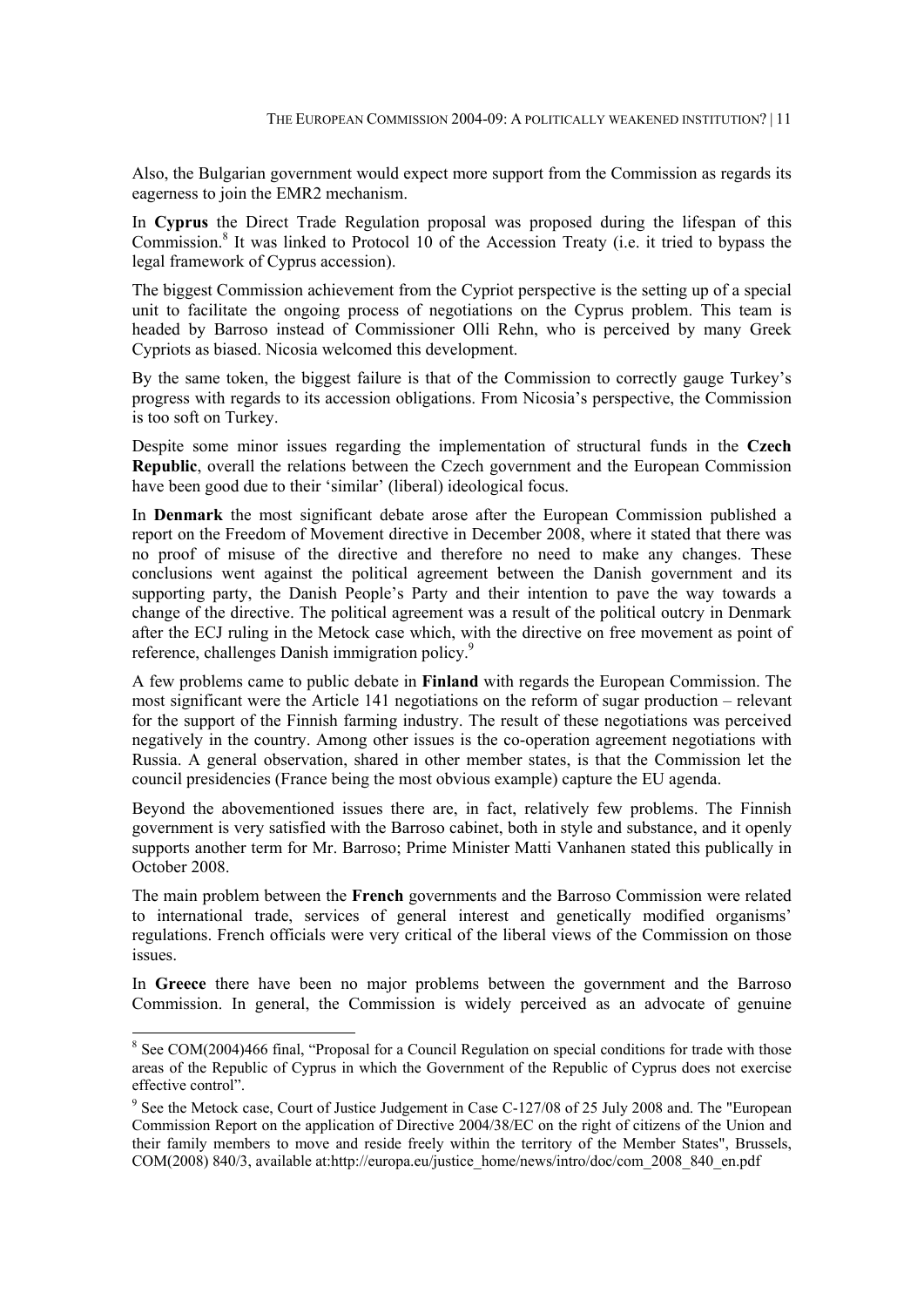Also, the Bulgarian government would expect more support from the Commission as regards its eagerness to join the EMR2 mechanism.

In **Cyprus** the Direct Trade Regulation proposal was proposed during the lifespan of this Commission.<sup>8</sup> It was linked to Protocol 10 of the Accession Treaty (i.e. it tried to bypass the legal framework of Cyprus accession).

The biggest Commission achievement from the Cypriot perspective is the setting up of a special unit to facilitate the ongoing process of negotiations on the Cyprus problem. This team is headed by Barroso instead of Commissioner Olli Rehn, who is perceived by many Greek Cypriots as biased. Nicosia welcomed this development.

By the same token, the biggest failure is that of the Commission to correctly gauge Turkey's progress with regards to its accession obligations. From Nicosia's perspective, the Commission is too soft on Turkey.

Despite some minor issues regarding the implementation of structural funds in the **Czech Republic**, overall the relations between the Czech government and the European Commission have been good due to their 'similar' (liberal) ideological focus.

In **Denmark** the most significant debate arose after the European Commission published a report on the Freedom of Movement directive in December 2008, where it stated that there was no proof of misuse of the directive and therefore no need to make any changes. These conclusions went against the political agreement between the Danish government and its supporting party, the Danish People's Party and their intention to pave the way towards a change of the directive. The political agreement was a result of the political outcry in Denmark after the ECJ ruling in the Metock case which, with the directive on free movement as point of reference, challenges Danish immigration policy.<sup>9</sup>

A few problems came to public debate in **Finland** with regards the European Commission. The most significant were the Article 141 negotiations on the reform of sugar production – relevant for the support of the Finnish farming industry. The result of these negotiations was perceived negatively in the country. Among other issues is the co-operation agreement negotiations with Russia. A general observation, shared in other member states, is that the Commission let the council presidencies (France being the most obvious example) capture the EU agenda.

Beyond the abovementioned issues there are, in fact, relatively few problems. The Finnish government is very satisfied with the Barroso cabinet, both in style and substance, and it openly supports another term for Mr. Barroso; Prime Minister Matti Vanhanen stated this publically in October 2008.

The main problem between the **French** governments and the Barroso Commission were related to international trade, services of general interest and genetically modified organisms' regulations. French officials were very critical of the liberal views of the Commission on those issues.

In **Greece** there have been no major problems between the government and the Barroso Commission. In general, the Commission is widely perceived as an advocate of genuine

-

<sup>&</sup>lt;sup>8</sup> See COM(2004)466 final, "Proposal for a Council Regulation on special conditions for trade with those areas of the Republic of Cyprus in which the Government of the Republic of Cyprus does not exercise effective control".

<sup>&</sup>lt;sup>9</sup> See the Metock case, Court of Justice Judgement in Case C-127/08 of 25 July 2008 and. The "European Commission Report on the application of Directive 2004/38/EC on the right of citizens of the Union and their family members to move and reside freely within the territory of the Member States", Brussels, COM(2008) 840/3, available at:http://europa.eu/justice\_home/news/intro/doc/com\_2008\_840\_en.pdf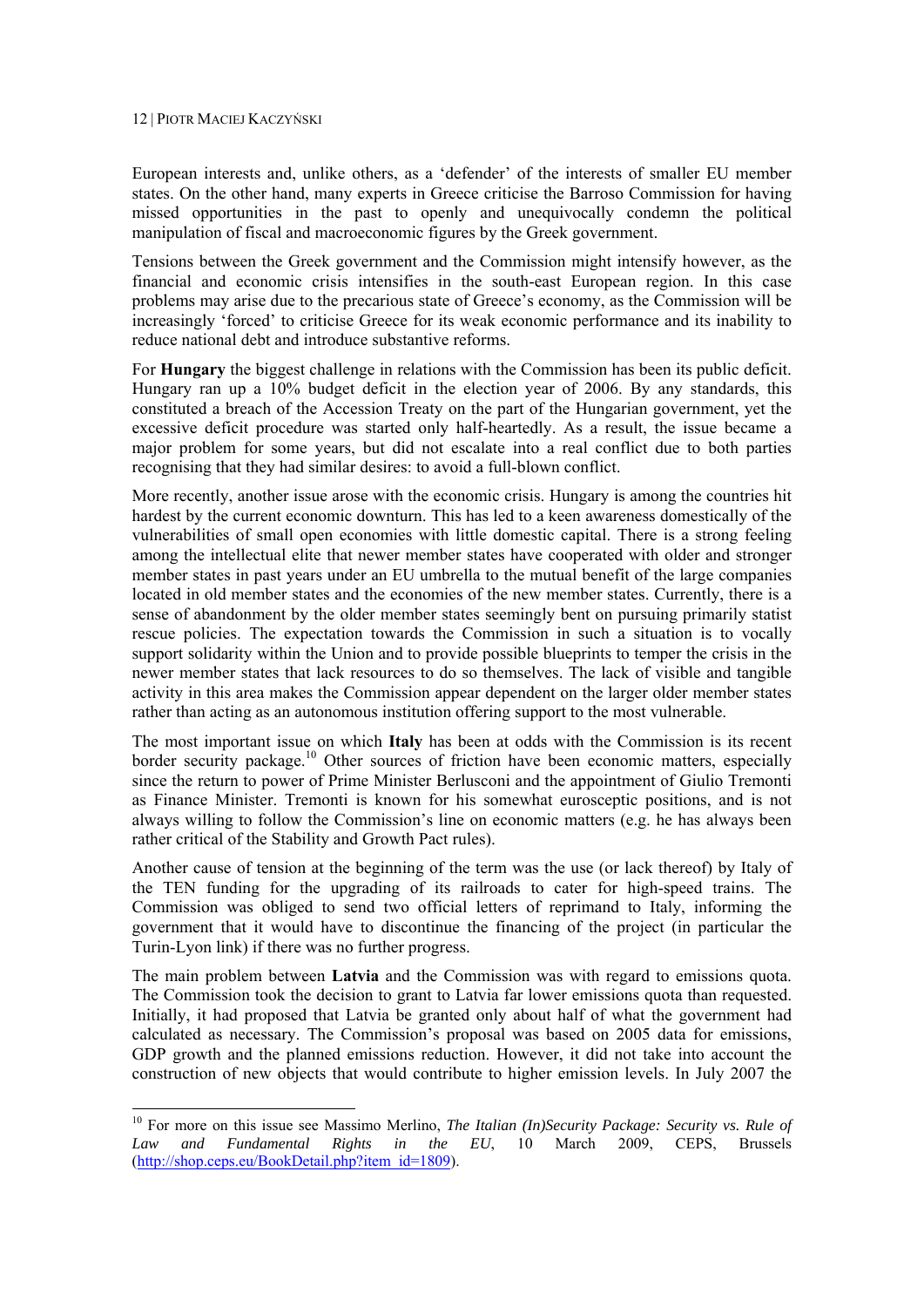1

European interests and, unlike others, as a 'defender' of the interests of smaller EU member states. On the other hand, many experts in Greece criticise the Barroso Commission for having missed opportunities in the past to openly and unequivocally condemn the political manipulation of fiscal and macroeconomic figures by the Greek government.

Tensions between the Greek government and the Commission might intensify however, as the financial and economic crisis intensifies in the south-east European region. In this case problems may arise due to the precarious state of Greece's economy, as the Commission will be increasingly 'forced' to criticise Greece for its weak economic performance and its inability to reduce national debt and introduce substantive reforms.

For **Hungary** the biggest challenge in relations with the Commission has been its public deficit. Hungary ran up a 10% budget deficit in the election year of 2006. By any standards, this constituted a breach of the Accession Treaty on the part of the Hungarian government, yet the excessive deficit procedure was started only half-heartedly. As a result, the issue became a major problem for some years, but did not escalate into a real conflict due to both parties recognising that they had similar desires: to avoid a full-blown conflict.

More recently, another issue arose with the economic crisis. Hungary is among the countries hit hardest by the current economic downturn. This has led to a keen awareness domestically of the vulnerabilities of small open economies with little domestic capital. There is a strong feeling among the intellectual elite that newer member states have cooperated with older and stronger member states in past years under an EU umbrella to the mutual benefit of the large companies located in old member states and the economies of the new member states. Currently, there is a sense of abandonment by the older member states seemingly bent on pursuing primarily statist rescue policies. The expectation towards the Commission in such a situation is to vocally support solidarity within the Union and to provide possible blueprints to temper the crisis in the newer member states that lack resources to do so themselves. The lack of visible and tangible activity in this area makes the Commission appear dependent on the larger older member states rather than acting as an autonomous institution offering support to the most vulnerable.

The most important issue on which **Italy** has been at odds with the Commission is its recent border security package.<sup>10</sup> Other sources of friction have been economic matters, especially since the return to power of Prime Minister Berlusconi and the appointment of Giulio Tremonti as Finance Minister. Tremonti is known for his somewhat eurosceptic positions, and is not always willing to follow the Commission's line on economic matters (e.g. he has always been rather critical of the Stability and Growth Pact rules).

Another cause of tension at the beginning of the term was the use (or lack thereof) by Italy of the TEN funding for the upgrading of its railroads to cater for high-speed trains. The Commission was obliged to send two official letters of reprimand to Italy, informing the government that it would have to discontinue the financing of the project (in particular the Turin-Lyon link) if there was no further progress.

The main problem between **Latvia** and the Commission was with regard to emissions quota. The Commission took the decision to grant to Latvia far lower emissions quota than requested. Initially, it had proposed that Latvia be granted only about half of what the government had calculated as necessary. The Commission's proposal was based on 2005 data for emissions, GDP growth and the planned emissions reduction. However, it did not take into account the construction of new objects that would contribute to higher emission levels. In July 2007 the

<sup>10</sup> For more on this issue see Massimo Merlino, *The Italian (In)Security Package: Security vs. Rule of Law and Fundamental Rights in the EU*, 10 March 2009, CEPS, Brussels (http://shop.ceps.eu/BookDetail.php?item\_id=1809).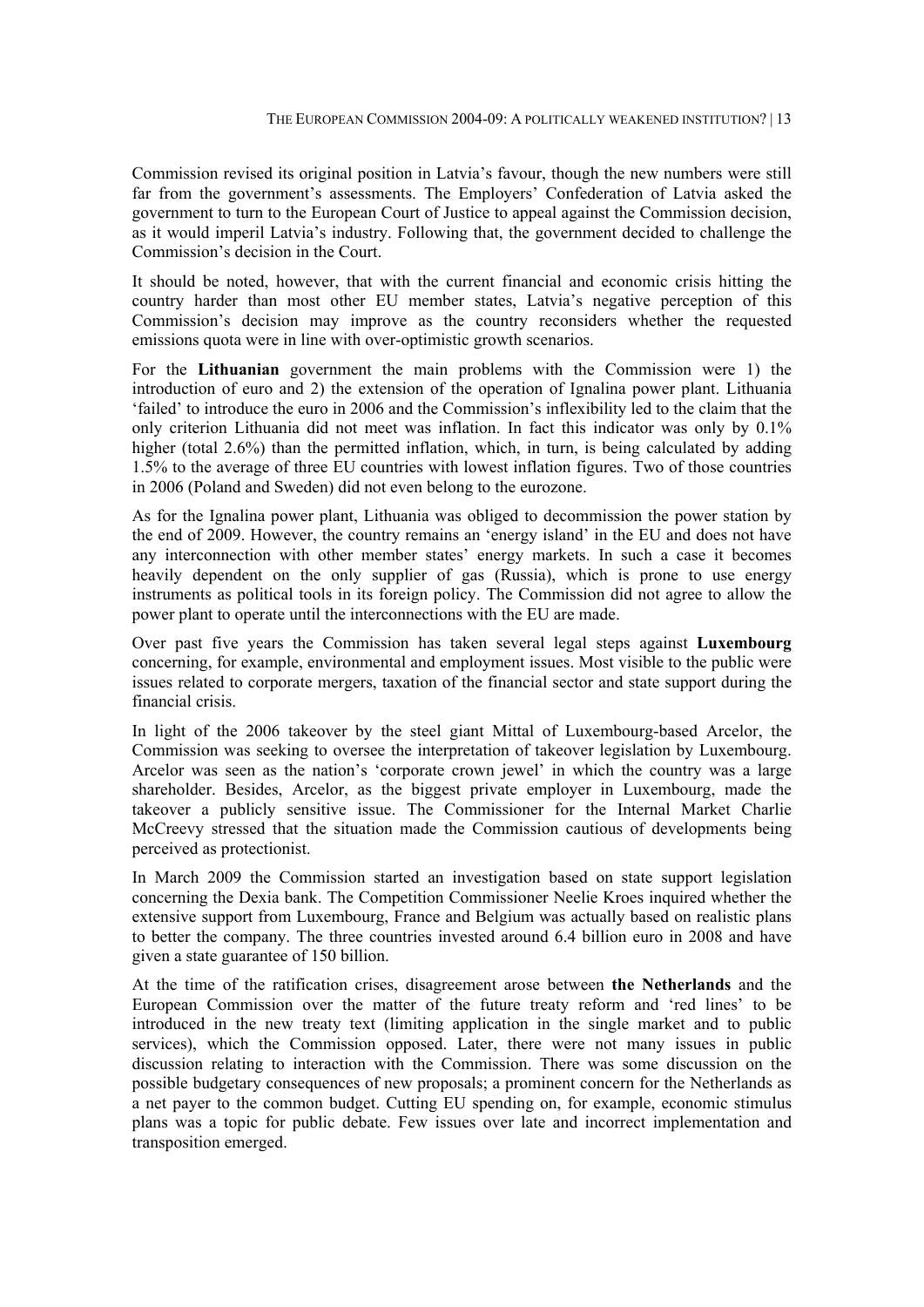Commission revised its original position in Latvia's favour, though the new numbers were still far from the government's assessments. The Employers' Confederation of Latvia asked the government to turn to the European Court of Justice to appeal against the Commission decision, as it would imperil Latvia's industry. Following that, the government decided to challenge the Commission's decision in the Court.

It should be noted, however, that with the current financial and economic crisis hitting the country harder than most other EU member states, Latvia's negative perception of this Commission's decision may improve as the country reconsiders whether the requested emissions quota were in line with over-optimistic growth scenarios.

For the **Lithuanian** government the main problems with the Commission were 1) the introduction of euro and 2) the extension of the operation of Ignalina power plant. Lithuania 'failed' to introduce the euro in 2006 and the Commission's inflexibility led to the claim that the only criterion Lithuania did not meet was inflation. In fact this indicator was only by 0.1% higher (total 2.6%) than the permitted inflation, which, in turn, is being calculated by adding 1.5% to the average of three EU countries with lowest inflation figures. Two of those countries in 2006 (Poland and Sweden) did not even belong to the eurozone.

As for the Ignalina power plant, Lithuania was obliged to decommission the power station by the end of 2009. However, the country remains an 'energy island' in the EU and does not have any interconnection with other member states' energy markets. In such a case it becomes heavily dependent on the only supplier of gas (Russia), which is prone to use energy instruments as political tools in its foreign policy. The Commission did not agree to allow the power plant to operate until the interconnections with the EU are made.

Over past five years the Commission has taken several legal steps against **Luxembourg** concerning, for example, environmental and employment issues. Most visible to the public were issues related to corporate mergers, taxation of the financial sector and state support during the financial crisis.

In light of the 2006 takeover by the steel giant Mittal of Luxembourg-based Arcelor, the Commission was seeking to oversee the interpretation of takeover legislation by Luxembourg. Arcelor was seen as the nation's 'corporate crown jewel' in which the country was a large shareholder. Besides, Arcelor, as the biggest private employer in Luxembourg, made the takeover a publicly sensitive issue. The Commissioner for the Internal Market Charlie McCreevy stressed that the situation made the Commission cautious of developments being perceived as protectionist.

In March 2009 the Commission started an investigation based on state support legislation concerning the Dexia bank. The Competition Commissioner Neelie Kroes inquired whether the extensive support from Luxembourg, France and Belgium was actually based on realistic plans to better the company. The three countries invested around 6.4 billion euro in 2008 and have given a state guarantee of 150 billion.

At the time of the ratification crises, disagreement arose between **the Netherlands** and the European Commission over the matter of the future treaty reform and 'red lines' to be introduced in the new treaty text (limiting application in the single market and to public services), which the Commission opposed. Later, there were not many issues in public discussion relating to interaction with the Commission. There was some discussion on the possible budgetary consequences of new proposals; a prominent concern for the Netherlands as a net payer to the common budget. Cutting EU spending on, for example, economic stimulus plans was a topic for public debate. Few issues over late and incorrect implementation and transposition emerged.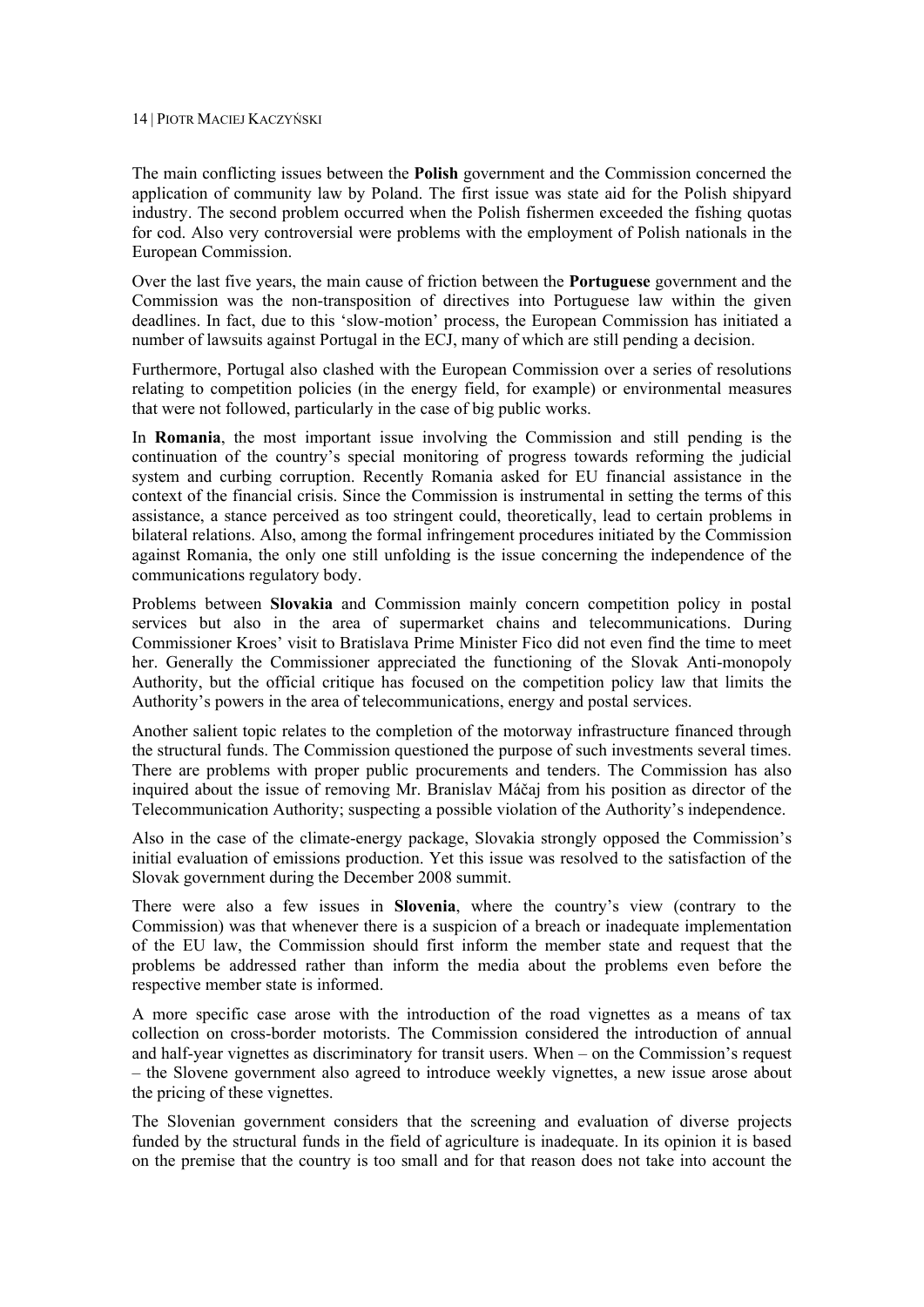The main conflicting issues between the **Polish** government and the Commission concerned the application of community law by Poland. The first issue was state aid for the Polish shipyard industry. The second problem occurred when the Polish fishermen exceeded the fishing quotas for cod. Also very controversial were problems with the employment of Polish nationals in the European Commission.

Over the last five years, the main cause of friction between the **Portuguese** government and the Commission was the non-transposition of directives into Portuguese law within the given deadlines. In fact, due to this 'slow-motion' process, the European Commission has initiated a number of lawsuits against Portugal in the ECJ, many of which are still pending a decision.

Furthermore, Portugal also clashed with the European Commission over a series of resolutions relating to competition policies (in the energy field, for example) or environmental measures that were not followed, particularly in the case of big public works.

In **Romania**, the most important issue involving the Commission and still pending is the continuation of the country's special monitoring of progress towards reforming the judicial system and curbing corruption. Recently Romania asked for EU financial assistance in the context of the financial crisis. Since the Commission is instrumental in setting the terms of this assistance, a stance perceived as too stringent could, theoretically, lead to certain problems in bilateral relations. Also, among the formal infringement procedures initiated by the Commission against Romania, the only one still unfolding is the issue concerning the independence of the communications regulatory body.

Problems between **Slovakia** and Commission mainly concern competition policy in postal services but also in the area of supermarket chains and telecommunications. During Commissioner Kroes' visit to Bratislava Prime Minister Fico did not even find the time to meet her. Generally the Commissioner appreciated the functioning of the Slovak Anti-monopoly Authority, but the official critique has focused on the competition policy law that limits the Authority's powers in the area of telecommunications, energy and postal services.

Another salient topic relates to the completion of the motorway infrastructure financed through the structural funds. The Commission questioned the purpose of such investments several times. There are problems with proper public procurements and tenders. The Commission has also inquired about the issue of removing Mr. Branislav Máčaj from his position as director of the Telecommunication Authority; suspecting a possible violation of the Authority's independence.

Also in the case of the climate-energy package, Slovakia strongly opposed the Commission's initial evaluation of emissions production. Yet this issue was resolved to the satisfaction of the Slovak government during the December 2008 summit.

There were also a few issues in **Slovenia**, where the country's view (contrary to the Commission) was that whenever there is a suspicion of a breach or inadequate implementation of the EU law, the Commission should first inform the member state and request that the problems be addressed rather than inform the media about the problems even before the respective member state is informed.

A more specific case arose with the introduction of the road vignettes as a means of tax collection on cross-border motorists. The Commission considered the introduction of annual and half-year vignettes as discriminatory for transit users. When – on the Commission's request – the Slovene government also agreed to introduce weekly vignettes, a new issue arose about the pricing of these vignettes.

The Slovenian government considers that the screening and evaluation of diverse projects funded by the structural funds in the field of agriculture is inadequate. In its opinion it is based on the premise that the country is too small and for that reason does not take into account the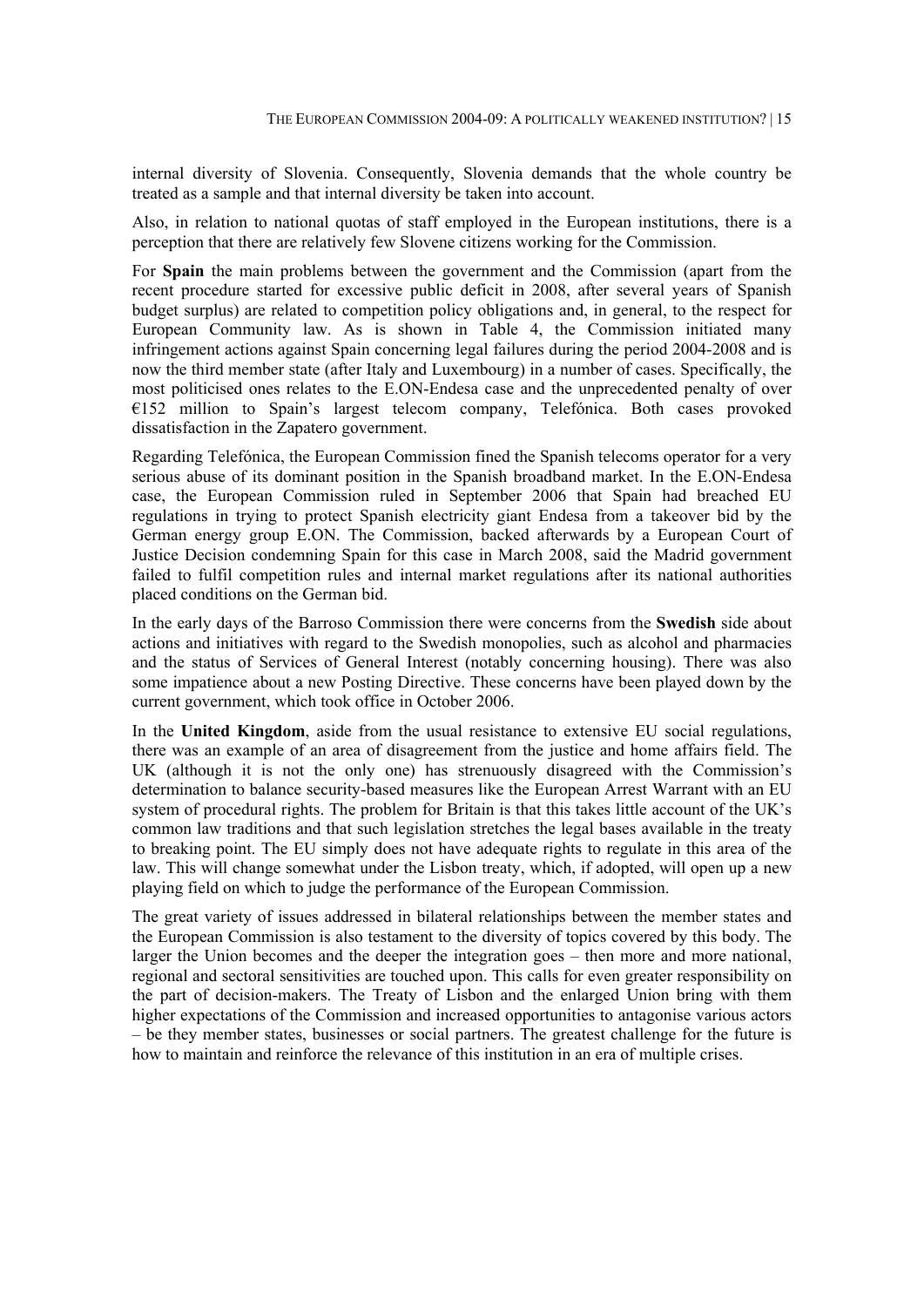internal diversity of Slovenia. Consequently, Slovenia demands that the whole country be treated as a sample and that internal diversity be taken into account.

Also, in relation to national quotas of staff employed in the European institutions, there is a perception that there are relatively few Slovene citizens working for the Commission.

For **Spain** the main problems between the government and the Commission (apart from the recent procedure started for excessive public deficit in 2008, after several years of Spanish budget surplus) are related to competition policy obligations and, in general, to the respect for European Community law. As is shown in Table 4, the Commission initiated many infringement actions against Spain concerning legal failures during the period 2004-2008 and is now the third member state (after Italy and Luxembourg) in a number of cases. Specifically, the most politicised ones relates to the E.ON-Endesa case and the unprecedented penalty of over  $E152$  million to Spain's largest telecom company, Telefónica. Both cases provoked dissatisfaction in the Zapatero government.

Regarding Telefónica, the European Commission fined the Spanish telecoms operator for a very serious abuse of its dominant position in the Spanish broadband market. In the E.ON-Endesa case, the European Commission ruled in September 2006 that Spain had breached EU regulations in trying to protect Spanish electricity giant Endesa from a takeover bid by the German energy group E.ON. The Commission, backed afterwards by a European Court of Justice Decision condemning Spain for this case in March 2008, said the Madrid government failed to fulfil competition rules and internal market regulations after its national authorities placed conditions on the German bid.

In the early days of the Barroso Commission there were concerns from the **Swedish** side about actions and initiatives with regard to the Swedish monopolies, such as alcohol and pharmacies and the status of Services of General Interest (notably concerning housing). There was also some impatience about a new Posting Directive. These concerns have been played down by the current government, which took office in October 2006.

In the **United Kingdom**, aside from the usual resistance to extensive EU social regulations, there was an example of an area of disagreement from the justice and home affairs field. The UK (although it is not the only one) has strenuously disagreed with the Commission's determination to balance security-based measures like the European Arrest Warrant with an EU system of procedural rights. The problem for Britain is that this takes little account of the UK's common law traditions and that such legislation stretches the legal bases available in the treaty to breaking point. The EU simply does not have adequate rights to regulate in this area of the law. This will change somewhat under the Lisbon treaty, which, if adopted, will open up a new playing field on which to judge the performance of the European Commission.

The great variety of issues addressed in bilateral relationships between the member states and the European Commission is also testament to the diversity of topics covered by this body. The larger the Union becomes and the deeper the integration goes – then more and more national, regional and sectoral sensitivities are touched upon. This calls for even greater responsibility on the part of decision-makers. The Treaty of Lisbon and the enlarged Union bring with them higher expectations of the Commission and increased opportunities to antagonise various actors – be they member states, businesses or social partners. The greatest challenge for the future is how to maintain and reinforce the relevance of this institution in an era of multiple crises.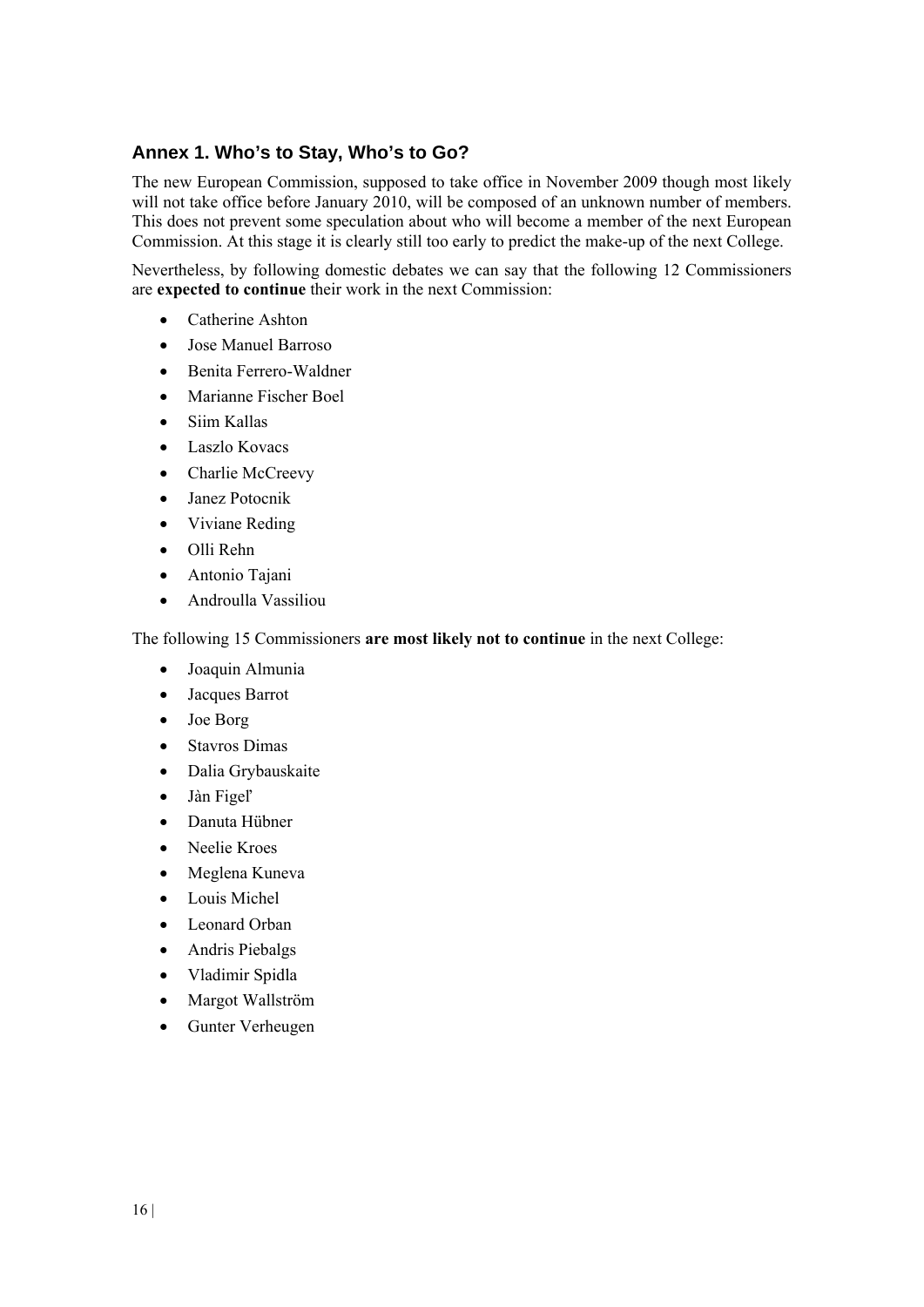### **Annex 1. Who's to Stay, Who's to Go?**

The new European Commission, supposed to take office in November 2009 though most likely will not take office before January 2010, will be composed of an unknown number of members. This does not prevent some speculation about who will become a member of the next European Commission. At this stage it is clearly still too early to predict the make-up of the next College.

Nevertheless, by following domestic debates we can say that the following 12 Commissioners are **expected to continue** their work in the next Commission:

- Catherine Ashton
- Jose Manuel Barroso
- Benita Ferrero-Waldner
- Marianne Fischer Boel
- Siim Kallas
- Laszlo Kovacs
- Charlie McCreevy
- Janez Potocnik
- Viviane Reding
- Olli Rehn
- Antonio Tajani
- Androulla Vassiliou

The following 15 Commissioners **are most likely not to continue** in the next College:

- Joaquin Almunia
- Jacques Barrot
- Joe Borg
- Stavros Dimas
- Dalia Grybauskaite
- Jàn Figeľ
- Danuta Hübner
- Neelie Kroes
- Meglena Kuneva
- Louis Michel
- Leonard Orban
- Andris Piebalgs
- Vladimir Spidla
- Margot Wallström
- Gunter Verheugen